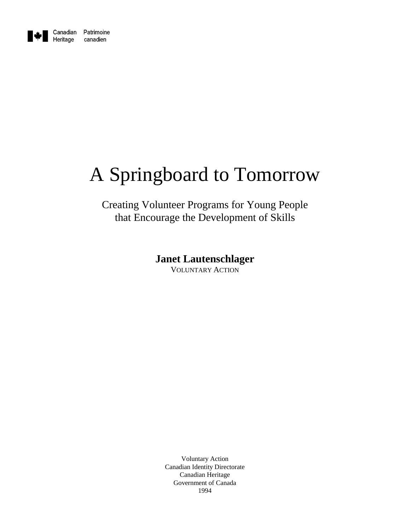

# A Springboard to Tomorrow

# Creating Volunteer Programs for Young People that Encourage the Development of Skills

**Janet Lautenschlager**

VOLUNTARY ACTION

Voluntary Action Canadian Identity Directorate Canadian Heritage Government of Canada 1994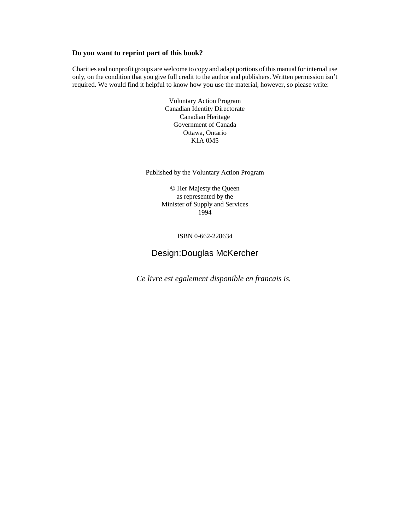#### **Do you want to reprint part of this book?**

Charities and nonprofit groups are welcome to copy and adapt portions of this manual for internal use Charities and nonprofit groups are welcome to copy and adapt portions of this manual for internal use<br>only, on the condition that you give full credit to the author and publishers. Written permission isn't required. We would find it helpful to know how you use the material, however, so please write:

> Voluntary Action Program Canadian Identity Directorate Canadian Heritage Government of Canada Ottawa, Ontario K1A 0M5

Published by the Voluntary Action Program

© Her Majesty the Queen as represented by the Minister of Supply and Services 1994

ISBN 0-662-228634

#### Design:Douglas McKercher

*Ce livre est egalement disponible en francais is.*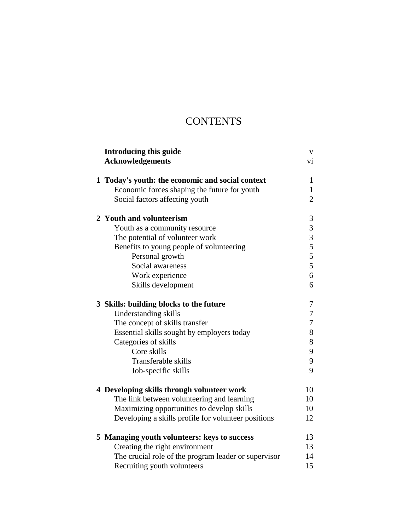# **CONTENTS**

| <b>Introducing this guide</b><br><b>Acknowledgements</b> | V<br>vi        |
|----------------------------------------------------------|----------------|
|                                                          |                |
| 1 Today's youth: the economic and social context         | 1              |
| Economic forces shaping the future for youth             | $\mathbf{1}$   |
| Social factors affecting youth                           | $\overline{2}$ |
| 2 Youth and volunteerism                                 | 3              |
| Youth as a community resource                            | 3              |
| The potential of volunteer work                          | $\overline{3}$ |
| Benefits to young people of volunteering                 |                |
| Personal growth                                          | $rac{5}{5}$    |
| Social awareness                                         | 5              |
| Work experience                                          | 6              |
| Skills development                                       | 6              |
| 3 Skills: building blocks to the future                  | 7              |
| Understanding skills                                     | 7              |
| The concept of skills transfer                           | 7              |
| Essential skills sought by employers today               | 8              |
| Categories of skills                                     | 8              |
| Core skills                                              | 9              |
| Transferable skills                                      | 9              |
| Job-specific skills                                      | 9              |
| 4 Developing skills through volunteer work               | 10             |
| The link between volunteering and learning               | 10             |
| Maximizing opportunities to develop skills               | 10             |
| Developing a skills profile for volunteer positions      | 12             |
| 5 Managing youth volunteers: keys to success             | 13             |
| Creating the right environment                           | 13             |
| The crucial role of the program leader or supervisor     | 14             |
| Recruiting youth volunteers                              | 15             |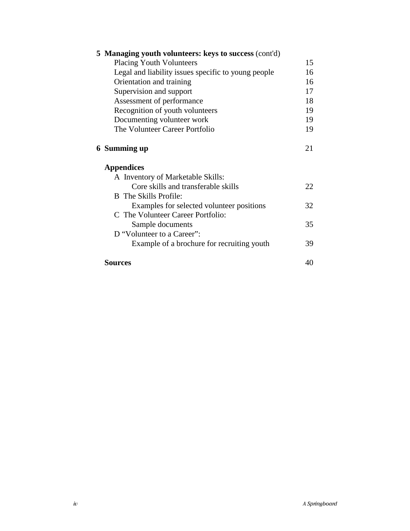| 5 Managing youth volunteers: keys to success (cont'd) |    |  |
|-------------------------------------------------------|----|--|
| <b>Placing Youth Volunteers</b>                       | 15 |  |
| Legal and liability issues specific to young people   | 16 |  |
| Orientation and training                              | 16 |  |
| Supervision and support                               | 17 |  |
| Assessment of performance                             | 18 |  |
| Recognition of youth volunteers                       | 19 |  |
| Documenting volunteer work                            | 19 |  |
| The Volunteer Career Portfolio                        | 19 |  |
| 6 Summing up                                          | 21 |  |
| <b>Appendices</b>                                     |    |  |
| A Inventory of Marketable Skills:                     |    |  |
| Core skills and transferable skills                   | 22 |  |
| <b>B</b> The Skills Profile:                          |    |  |
| Examples for selected volunteer positions             | 32 |  |
| C The Volunteer Career Portfolio:                     |    |  |
| Sample documents                                      | 35 |  |
| D "Volunteer to a Career":                            |    |  |
| Example of a brochure for recruiting youth            | 39 |  |
| <b>Sources</b>                                        | 40 |  |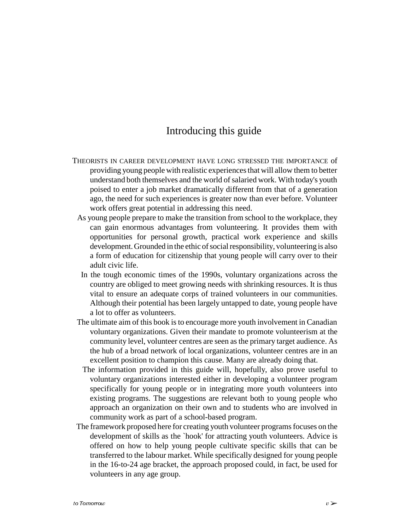### Introducing this guide

- THEORISTS IN CAREER DEVELOPMENT HAVE LONG STRESSED THE IMPORTANCE of providing young people with realistic experiences that will allow them to better understand both themselves and the world of salaried work. With today's youth poised to enter a job market dramatically different from that of a generation ago, the need for such experiences is greater now than ever before. Volunteer work offers great potential in addressing this need.
	- As young people prepare to make the transition from school to the workplace, they can gain enormous advantages from volunteering. It provides them with opportunities for personal growth, practical work experience and skills development. Grounded in the ethic of social responsibility, volunteering is also a form of education for citizenship that young people will carry over to their adult civic life.
	- In the tough economic times of the 1990s, voluntary organizations across the country are obliged to meet growing needs with shrinking resources. It is thus vital to ensure an adequate corps of trained volunteers in our communities. Although their potential has been largely untapped to date, young people have a lot to offer as volunteers.
	- The ultimate aim of this book is to encourage more youth involvement in Canadian voluntary organizations. Given their mandate to promote volunteerism at the community level, volunteer centres are seen as the primary target audience. As the hub of a broad network of local organizations, volunteer centres are in an excellent position to champion this cause. Many are already doing that.
	- The information provided in this guide will, hopefully, also prove useful to voluntary organizations interested either in developing a volunteer program specifically for young people or in integrating more youth volunteers into existing programs. The suggestions are relevant both to young people who approach an organization on their own and to students who are involved in community work as part of a school-based program.
	- The framework proposed here for creating youth volunteer programs focuses on the development of skills as the `hook' for attracting youth volunteers. Advice is offered on how to help young people cultivate specific skills that can be transferred to the labour market. While specifically designed for young people in the 16-to-24 age bracket, the approach proposed could, in fact, be used for volunteers in any age group.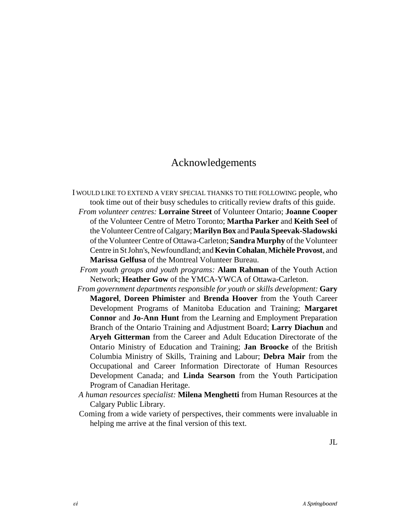### Acknowledgements

- I WOULD LIKE TO EXTEND A VERY SPECIAL THANKS TO THE FOLLOWING people, who took time out of their busy schedules to critically review drafts of this guide.
	- *From volunteer centres:* **Lorraine Street** of Volunteer Ontario; **Joanne Cooper** of the Volunteer Centre of Metro Toronto; **Martha Parker** and **Keith Seel** of the Volunteer Centre of Calgary; **Marilyn Box** and **Paula Speevak-Sladowski** of the Volunteer Centre of Ottawa-Carleton; **Sandra Murphy** of the Volunteer Centre in St John's, Newfoundland; and **Kevin Cohalan**, **Michèle Provost**, and **Marissa Gelfusa** of the Montreal Volunteer Bureau.
	- *From youth groups and youth programs:* **Alam Rahman** of the Youth Action Network; **Heather Gow** of the YMCA-YWCA of Ottawa-Carleton.
	- *From government departments responsible for youth or skills development:* **Gary Magorel**, **Doreen Phimister** and **Brenda Hoover** from the Youth Career Development Programs of Manitoba Education and Training; **Margaret Connor** and **Jo-Ann Hunt** from the Learning and Employment Preparation Branch of the Ontario Training and Adjustment Board; **Larry Diachun** and **Aryeh Gitterman** from the Career and Adult Education Directorate of the Ontario Ministry of Education and Training; **Jan Broocke** of the British Columbia Ministry of Skills, Training and Labour; **Debra Mair** from the Occupational and Career Information Directorate of Human Resources Development Canada; and **Linda Searson** from the Youth Participation Program of Canadian Heritage.
	- *A human resources specialist:* **Milena Menghetti** from Human Resources at the Calgary Public Library.
	- Coming from a wide variety of perspectives, their comments were invaluable in helping me arrive at the final version of this text.

JL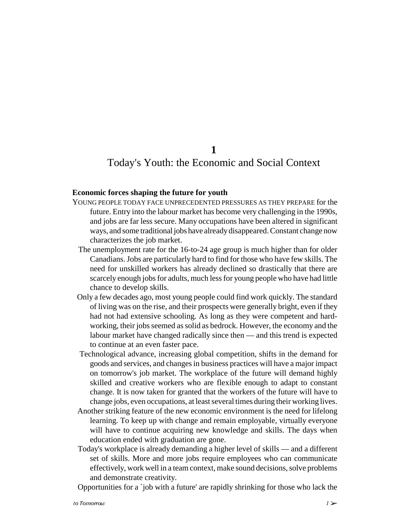**1**

### Today's Youth: the Economic and Social Context

#### **Economic forces shaping the future for youth**

- YOUNG PEOPLE TODAY FACE UNPRECEDENTED PRESSURES AS THEY PREPARE for the future. Entry into the labour market has become very challenging in the 1990s, and jobs are far less secure. Many occupations have been altered in significant ways, and some traditional jobs have already disappeared. Constant change now characterizes the job market.
	- The unemployment rate for the 16-to-24 age group is much higher than for older Canadians. Jobs are particularly hard to find for those who have few skills. The need for unskilled workers has already declined so drastically that there are scarcely enough jobs for adults, much less for young people who have had little chance to develop skills.
- Only a few decades ago, most young people could find work quickly. The standard of living was on the rise, and their prospects were generally bright, even if they had not had extensive schooling. As long as they were competent and hardworking, their jobs seemed as solid as bedrock. However, the economy and the labour market have changed radically since then — and this trend is expected to continue at an even faster pace.
- Technological advance, increasing global competition, shifts in the demand for goods and services, and changes in business practices will have a major impact on tomorrow's job market. The workplace of the future will demand highly skilled and creative workers who are flexible enough to adapt to constant change. It is now taken for granted that the workers of the future will have to change jobs, even occupations, at least several times during their working lives.
- Another striking feature of the new economic environment is the need for lifelong learning. To keep up with change and remain employable, virtually everyone will have to continue acquiring new knowledge and skills. The days when education ended with graduation are gone.
- Today's workplace is already demanding a higher level of skills and a different set of skills. More and more jobs require employees who can communicate effectively, work well in a team context, make sound decisions, solve problems and demonstrate creativity.
- Opportunities for a `job with a future' are rapidly shrinking for those who lack the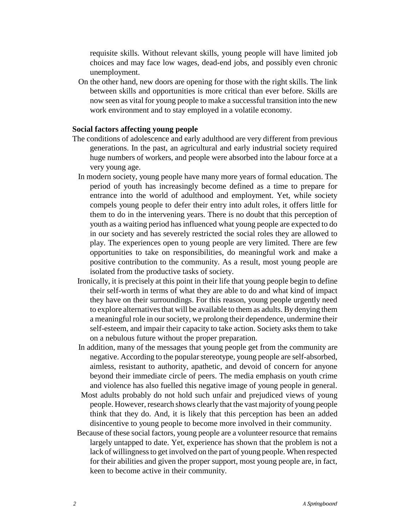requisite skills. Without relevant skills, young people will have limited job choices and may face low wages, dead-end jobs, and possibly even chronic unemployment.

 On the other hand, new doors are opening for those with the right skills. The link between skills and opportunities is more critical than ever before. Skills are now seen as vital for young people to make a successful transition into the new work environment and to stay employed in a volatile economy.

#### **Social factors affecting young people**

- The conditions of adolescence and early adulthood are very different from previous generations. In the past, an agricultural and early industrial society required huge numbers of workers, and people were absorbed into the labour force at a very young age.
	- In modern society, young people have many more years of formal education. The period of youth has increasingly become defined as a time to prepare for entrance into the world of adulthood and employment. Yet, while society compels young people to defer their entry into adult roles, it offers little for them to do in the intervening years. There is no doubt that this perception of youth as a waiting period has influenced what young people are expected to do in our society and has severely restricted the social roles they are allowed to play. The experiences open to young people are very limited. There are few opportunities to take on responsibilities, do meaningful work and make a positive contribution to the community. As a result, most young people are isolated from the productive tasks of society.
	- Ironically, it is precisely at this point in their life that young people begin to define their self-worth in terms of what they are able to do and what kind of impact they have on their surroundings. For this reason, young people urgently need to explore alternatives that will be available to them as adults. By denying them a meaningful role in our society, we prolong their dependence, undermine their self-esteem, and impair their capacity to take action. Society asks them to take on a nebulous future without the proper preparation.
	- In addition, many of the messages that young people get from the community are negative. According to the popular stereotype, young people are self-absorbed, aimless, resistant to authority, apathetic, and devoid of concern for anyone beyond their immediate circle of peers. The media emphasis on youth crime and violence has also fuelled this negative image of young people in general.
	- Most adults probably do not hold such unfair and prejudiced views of young people. However, research shows clearly that the vast majority of young people think that they do. And, it is likely that this perception has been an added disincentive to young people to become more involved in their community.
	- Because of these social factors, young people are a volunteer resource that remains largely untapped to date. Yet, experience has shown that the problem is not a lack of willingness to get involved on the part of young people. When respected for their abilities and given the proper support, most young people are, in fact, keen to become active in their community.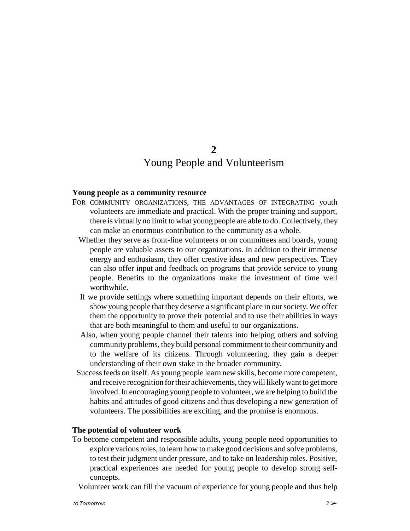### **2** Young People and Volunteerism

#### **Young people as a community resource**

- FOR COMMUNITY ORGANIZATIONS, THE ADVANTAGES OF INTEGRATING youth volunteers are immediate and practical. With the proper training and support, there is virtually no limit to what young people are able to do. Collectively, they can make an enormous contribution to the community as a whole.
	- Whether they serve as front-line volunteers or on committees and boards, young people are valuable assets to our organizations. In addition to their immense energy and enthusiasm, they offer creative ideas and new perspectives. They can also offer input and feedback on programs that provide service to young people. Benefits to the organizations make the investment of time well worthwhile.
	- If we provide settings where something important depends on their efforts, we show young people that they deserve a significant place in our society. We offer them the opportunity to prove their potential and to use their abilities in ways that are both meaningful to them and useful to our organizations.
	- Also, when young people channel their talents into helping others and solving community problems, they build personal commitment to their community and to the welfare of its citizens. Through volunteering, they gain a deeper understanding of their own stake in the broader community.
- Success feeds on itself. As young people learn new skills, become more competent, and receive recognition for their achievements, they will likely want to get more involved. In encouraging young people to volunteer, we are helping to build the habits and attitudes of good citizens and thus developing a new generation of volunteers. The possibilities are exciting, and the promise is enormous.

#### **The potential of volunteer work**

To become competent and responsible adults, young people need opportunities to explore various roles, to learn how to make good decisions and solve problems, to test their judgment under pressure, and to take on leadership roles. Positive, practical experiences are needed for young people to develop strong selfconcepts.

Volunteer work can fill the vacuum of experience for young people and thus help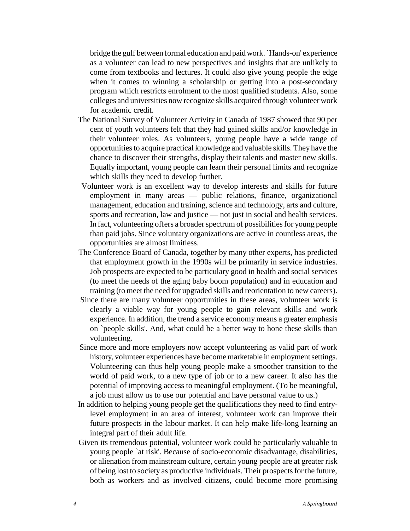bridge the gulf between formal education and paid work. `Hands-on' experience as a volunteer can lead to new perspectives and insights that are unlikely to come from textbooks and lectures. It could also give young people the edge when it comes to winning a scholarship or getting into a post-secondary program which restricts enrolment to the most qualified students. Also, some colleges and universities now recognize skills acquired through volunteer work for academic credit.

- The National Survey of Volunteer Activity in Canada of 1987 showed that 90 per cent of youth volunteers felt that they had gained skills and/or knowledge in their volunteer roles. As volunteers, young people have a wide range of opportunities to acquire practical knowledge and valuable skills. They have the chance to discover their strengths, display their talents and master new skills. Equally important, young people can learn their personal limits and recognize which skills they need to develop further.
- Volunteer work is an excellent way to develop interests and skills for future employment in many areas — public relations, finance, organizational management, education and training, science and technology, arts and culture, sports and recreation, law and justice — not just in social and health services. In fact, volunteering offers a broader spectrum of possibilities for young people than paid jobs. Since voluntary organizations are active in countless areas, the opportunities are almost limitless.
- The Conference Board of Canada, together by many other experts, has predicted that employment growth in the 1990s will be primarily in service industries. Job prospects are expected to be particulary good in health and social services (to meet the needs of the aging baby boom population) and in education and training (to meet the need for upgraded skills and reorientation to new careers).
- Since there are many volunteer opportunities in these areas, volunteer work is clearly a viable way for young people to gain relevant skills and work experience. In addition, the trend a service economy means a greater emphasis on `people skills'. And, what could be a better way to hone these skills than volunteering.
- Since more and more employers now accept volunteering as valid part of work history, volunteer experiences have become marketable in employment settings. Volunteering can thus help young people make a smoother transition to the world of paid work, to a new type of job or to a new career. It also has the potential of improving access to meaningful employment. (To be meaningful, a job must allow us to use our potential and have personal value to us.)
- In addition to helping young people get the qualifications they need to find entrylevel employment in an area of interest, volunteer work can improve their future prospects in the labour market. It can help make life-long learning an integral part of their adult life.
- Given its tremendous potential, volunteer work could be particularly valuable to young people `at risk'. Because of socio-economic disadvantage, disabilities, or alienation from mainstream culture, certain young people are at greater risk of being lost to society as productive individuals. Their prospects for the future, both as workers and as involved citizens, could become more promising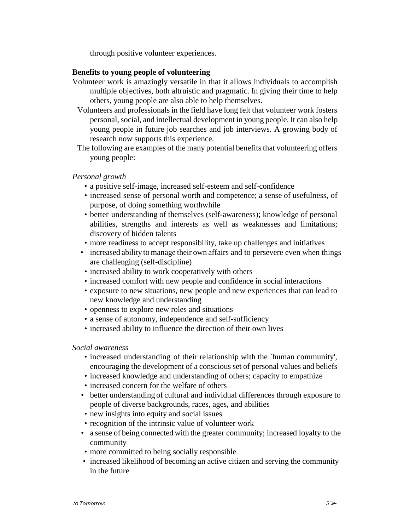through positive volunteer experiences.

#### **Benefits to young people of volunteering**

- Volunteer work is amazingly versatile in that it allows individuals to accomplish multiple objectives, both altruistic and pragmatic. In giving their time to help others, young people are also able to help themselves.
	- Volunteers and professionals in the field have long felt that volunteer work fosters personal, social, and intellectual development in young people. It can also help young people in future job searches and job interviews. A growing body of research now supports this experience.
- The following are examples of the many potential benefits that volunteering offers young people:

#### *Personal growth*

- a positive self-image, increased self-esteem and self-confidence
- increased sense of personal worth and competence; a sense of usefulness, of purpose, of doing something worthwhile
- better understanding of themselves (self-awareness); knowledge of personal abilities, strengths and interests as well as weaknesses and limitations; discovery of hidden talents
- more readiness to accept responsibility, take up challenges and initiatives
- increased ability to manage their own affairs and to persevere even when things are challenging (self-discipline)
- increased ability to work cooperatively with others
- increased comfort with new people and confidence in social interactions
- exposure to new situations, new people and new experiences that can lead to new knowledge and understanding
- openness to explore new roles and situations
- a sense of autonomy, independence and self-sufficiency
- increased ability to influence the direction of their own lives

#### *Social awareness*

- increased understanding of their relationship with the `human community', encouraging the development of a conscious set of personal values and beliefs
- increased knowledge and understanding of others; capacity to empathize
- increased concern for the welfare of others
- better understanding of cultural and individual differences through exposure to people of diverse backgrounds, races, ages, and abilities
- new insights into equity and social issues
- recognition of the intrinsic value of volunteer work
- a sense of being connected with the greater community; increased loyalty to the community
- more committed to being socially responsible
- increased likelihood of becoming an active citizen and serving the community in the future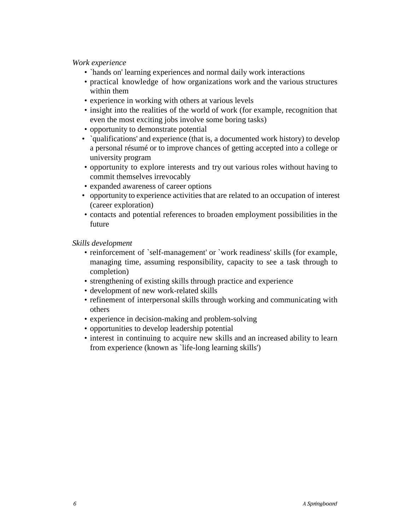#### *Work experience*

- `hands on' learning experiences and normal daily work interactions
- practical knowledge of how organizations work and the various structures within them
- experience in working with others at various levels
- insight into the realities of the world of work (for example, recognition that even the most exciting jobs involve some boring tasks)
- opportunity to demonstrate potential
- `qualifications' and experience (that is, a documented work history) to develop a personal résumé or to improve chances of getting accepted into a college or university program
- opportunity to explore interests and try out various roles without having to commit themselves irrevocably
- expanded awareness of career options
- opportunity to experience activities that are related to an occupation of interest (career exploration)
- contacts and potential references to broaden employment possibilities in the future

*Skills development*

- reinforcement of `self-management' or `work readiness' skills (for example, managing time, assuming responsibility, capacity to see a task through to completion)
- strengthening of existing skills through practice and experience
- development of new work-related skills
- refinement of interpersonal skills through working and communicating with others
- experience in decision-making and problem-solving
- opportunities to develop leadership potential
- interest in continuing to acquire new skills and an increased ability to learn from experience (known as `life-long learning skills')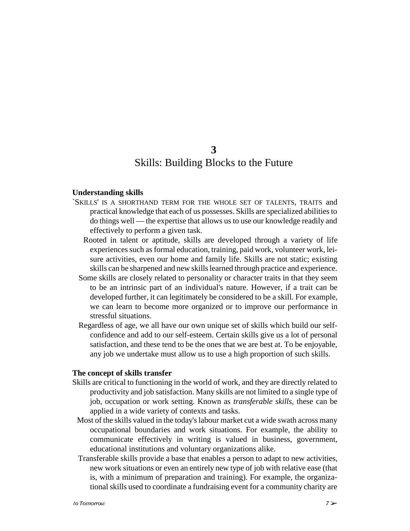### **3** Skills: Building Blocks to the Future

#### **Understanding skills**

- `SKILLS' IS A SHORTHAND TERM FOR THE WHOLE SET OF TALENTS, TRAITS and practical knowledge that each of us possesses. Skills are specialized abilities to do things well — the expertise that allows us to use our knowledge readily and effectively to perform a given task.
	- Rooted in talent or aptitude, skills are developed through a variety of life experiences such as formal education, training, paid work, volunteer work, leisure activities, even our home and family life. Skills are not static; existing skills can be sharpened and new skills learned through practice and experience.
	- Some skills are closely related to personality or character traits in that they seem to be an intrinsic part of an individual's nature. However, if a trait can be developed further, it can legitimately be considered to be a skill. For example, we can learn to become more organized or to improve our performance in stressful situations.
	- Regardless of age, we all have our own unique set of skills which build our selfconfidence and add to our self-esteem. Certain skills give us a lot of personal satisfaction, and these tend to be the ones that we are best at. To be enjoyable, any job we undertake must allow us to use a high proportion of such skills.

#### **The concept of skills transfer**

- Skills are critical to functioning in the world of work, and they are directly related to productivity and job satisfaction. Many skills are not limited to a single type of job, occupation or work setting. Known as *transferable skills*, these can be applied in a wide variety of contexts and tasks.
- Most of the skills valued in the today's labour market cut a wide swath across many occupational boundaries and work situations. For example, the ability to communicate effectively in writing is valued in business, government, educational institutions and voluntary organizations alike.
- Transferable skills provide a base that enables a person to adapt to new activities, new work situations or even an entirely new type of job with relative ease (that is, with a minimum of preparation and training). For example, the organizational skills used to coordinate a fundraising event for a community charity are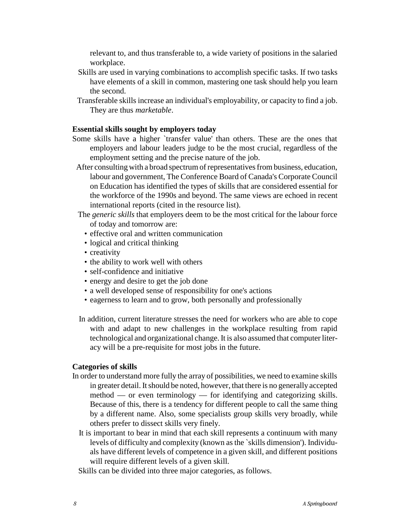relevant to, and thus transferable to, a wide variety of positions in the salaried workplace.

- Skills are used in varying combinations to accomplish specific tasks. If two tasks have elements of a skill in common, mastering one task should help you learn the second.
- Transferable skills increase an individual's employability, or capacity to find a job. They are thus *marketable*.

#### **Essential skills sought by employers today**

- Some skills have a higher `transfer value' than others. These are the ones that employers and labour leaders judge to be the most crucial, regardless of the employment setting and the precise nature of the job.
- After consulting with a broad spectrum of representatives from business, education, labour and government, The Conference Board of Canada's Corporate Council on Education has identified the types of skills that are considered essential for the workforce of the 1990s and beyond. The same views are echoed in recent international reports (cited in the resource list).
- The *generic skills* that employers deem to be the most critical for the labour force of today and tomorrow are:
	- effective oral and written communication
	- logical and critical thinking
	- creativity
	- the ability to work well with others
	- self-confidence and initiative
	- energy and desire to get the job done
	- a well developed sense of responsibility for one's actions
	- eagerness to learn and to grow, both personally and professionally
- In addition, current literature stresses the need for workers who are able to cope with and adapt to new challenges in the workplace resulting from rapid technological and organizational change. It is also assumed that computer literacy will be a pre-requisite for most jobs in the future.

#### **Categories of skills**

- In order to understand more fully the array of possibilities, we need to examine skills in greater detail. It should be noted, however, that there is no generally accepted method — or even terminology — for identifying and categorizing skills. Because of this, there is a tendency for different people to call the same thing by a different name. Also, some specialists group skills very broadly, while others prefer to dissect skills very finely.
	- It is important to bear in mind that each skill represents a continuum with many levels of difficulty and complexity (known as the `skills dimension'). Individuals have different levels of competence in a given skill, and different positions will require different levels of a given skill.
	- Skills can be divided into three major categories, as follows.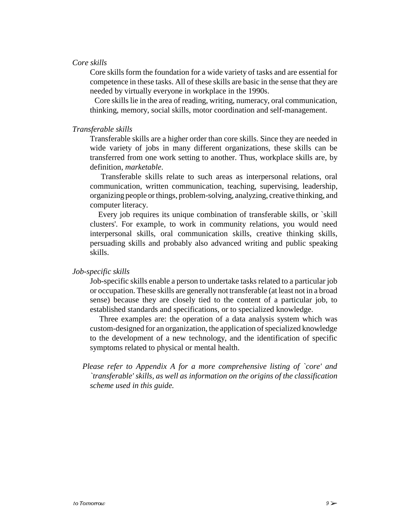#### *Core skills*

Core skills form the foundation for a wide variety of tasks and are essential for competence in these tasks. All of these skills are basic in the sense that they are needed by virtually everyone in workplace in the 1990s.

 Core skills lie in the area of reading, writing, numeracy, oral communication, thinking, memory, social skills, motor coordination and self-management.

#### *Transferable skills*

Transferable skills are a higher order than core skills. Since they are needed in wide variety of jobs in many different organizations, these skills can be transferred from one work setting to another. Thus, workplace skills are, by definition, *marketable*.

 Transferable skills relate to such areas as interpersonal relations, oral communication, written communication, teaching, supervising, leadership, organizing people or things, problem-solving, analyzing, creative thinking, and computer literacy.

 Every job requires its unique combination of transferable skills, or `skill clusters'. For example, to work in community relations, you would need interpersonal skills, oral communication skills, creative thinking skills, persuading skills and probably also advanced writing and public speaking skills.

#### *Job-specific skills*

Job-specific skills enable a person to undertake tasks related to a particular job or occupation. These skills are generally not transferable (at least not in a broad sense) because they are closely tied to the content of a particular job, to established standards and specifications, or to specialized knowledge.

 Three examples are: the operation of a data analysis system which was custom-designed for an organization, the application of specialized knowledge to the development of a new technology, and the identification of specific symptoms related to physical or mental health.

 *Please refer to Appendix A for a more comprehensive listing of `core' and `transferable' skills, as well as information on the origins of the classification scheme used in this guide.*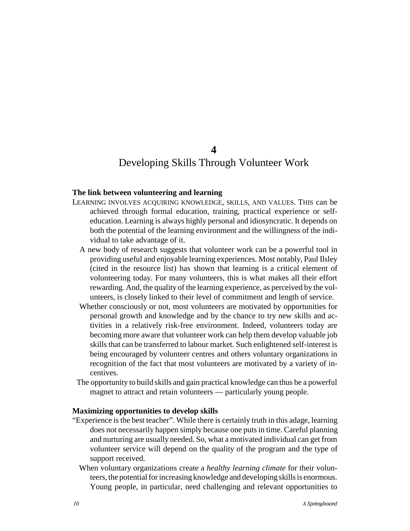**4**

### Developing Skills Through Volunteer Work

#### **The link between volunteering and learning**

- LEARNING INVOLVES ACQUIRING KNOWLEDGE, SKILLS, AND VALUES. THIS can be achieved through formal education, training, practical experience or selfeducation. Learning is always highly personal and idiosyncratic. It depends on both the potential of the learning environment and the willingness of the individual to take advantage of it.
	- A new body of research suggests that volunteer work can be a powerful tool in providing useful and enjoyable learning experiences. Most notably, Paul Ilsley (cited in the resource list) has shown that learning is a critical element of volunteering today. For many volunteers, this is what makes all their effort rewarding. And, the quality of the learning experience, as perceived by the volunteers, is closely linked to their level of commitment and length of service.
	- Whether consciously or not, most volunteers are motivated by opportunities for personal growth and knowledge and by the chance to try new skills and activities in a relatively risk-free environment. Indeed, volunteers today are becoming more aware that volunteer work can help them develop valuable job skills that can be transferred to labour market. Such enlightened self-interest is being encouraged by volunteer centres and others voluntary organizations in recognition of the fact that most volunteers are motivated by a variety of incentives.
	- The opportunity to build skills and gain practical knowledge can thus be a powerful magnet to attract and retain volunteers — particularly young people.

#### **Maximizing opportunities to develop skills**

- "Experience is the best teacher". While there is certainly truth in this adage, learning does not necessarily happen simply because one puts in time. Careful planning and nurturing are usually needed. So, what a motivated individual can get from volunteer service will depend on the quality of the program and the type of support received.
	- When voluntary organizations create a *healthy learning climate* for their volunteers, the potential for increasing knowledge and developing skills is enormous. Young people, in particular, need challenging and relevant opportunities to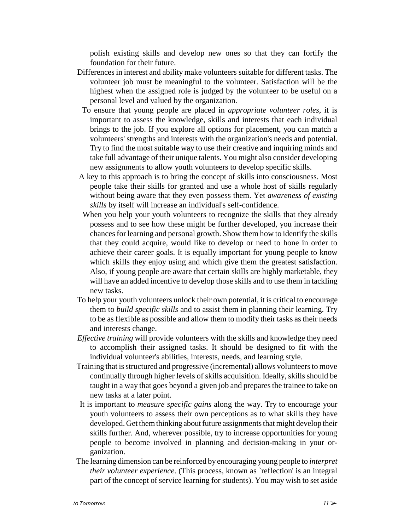polish existing skills and develop new ones so that they can fortify the foundation for their future.

- Differences in interest and ability make volunteers suitable for different tasks. The volunteer job must be meaningful to the volunteer. Satisfaction will be the highest when the assigned role is judged by the volunteer to be useful on a personal level and valued by the organization.
- To ensure that young people are placed in *appropriate volunteer roles*, it is important to assess the knowledge, skills and interests that each individual brings to the job. If you explore all options for placement, you can match a volunteers' strengths and interests with the organization's needs and potential. Try to find the most suitable way to use their creative and inquiring minds and take full advantage of their unique talents. You might also consider developing new assignments to allow youth volunteers to develop specific skills.
- A key to this approach is to bring the concept of skills into consciousness. Most people take their skills for granted and use a whole host of skills regularly without being aware that they even possess them. Yet *awareness of existing skills* by itself will increase an individual's self-confidence.
- When you help your youth volunteers to recognize the skills that they already possess and to see how these might be further developed, you increase their chances for learning and personal growth. Show them how to identify the skills that they could acquire, would like to develop or need to hone in order to achieve their career goals. It is equally important for young people to know which skills they enjoy using and which give them the greatest satisfaction. Also, if young people are aware that certain skills are highly marketable, they will have an added incentive to develop those skills and to use them in tackling new tasks.
- To help your youth volunteers unlock their own potential, it is critical to encourage them to *build specific skills* and to assist them in planning their learning. Try to be as flexible as possible and allow them to modify their tasks as their needs and interests change.
- *Effective training* will provide volunteers with the skills and knowledge they need to accomplish their assigned tasks. It should be designed to fit with the individual volunteer's abilities, interests, needs, and learning style.
- Training that is structured and progressive (incremental) allows volunteers to move continually through higher levels of skills acquisition. Ideally, skills should be taught in a way that goes beyond a given job and prepares the trainee to take on new tasks at a later point.
- It is important to *measure specific gains* along the way. Try to encourage your youth volunteers to assess their own perceptions as to what skills they have developed. Get them thinking about future assignments that might develop their skills further. And, wherever possible, try to increase opportunities for young people to become involved in planning and decision-making in your organization.
- The learning dimension can be reinforced by encouraging young people to *interpret their volunteer experience*. (This process, known as 'reflection' is an integral part of the concept of service learning for students). You may wish to set aside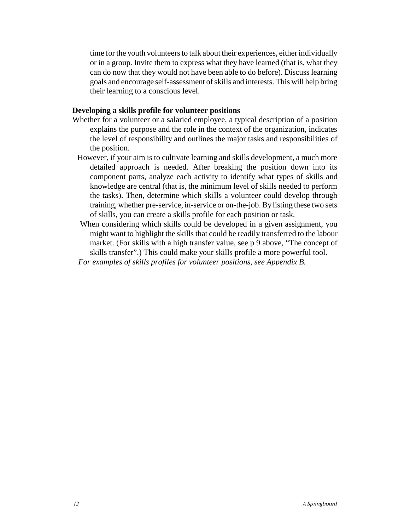time for the youth volunteers to talk about their experiences, either individually or in a group. Invite them to express what they have learned (that is, what they can do now that they would not have been able to do before). Discuss learning goals and encourage self-assessment of skills and interests. This will help bring their learning to a conscious level.

#### **Developing a skills profile for volunteer positions**

- Whether for a volunteer or a salaried employee, a typical description of a position explains the purpose and the role in the context of the organization, indicates the level of responsibility and outlines the major tasks and responsibilities of the position.
- However, if your aim is to cultivate learning and skills development, a much more detailed approach is needed. After breaking the position down into its component parts, analyze each activity to identify what types of skills and knowledge are central (that is, the minimum level of skills needed to perform the tasks). Then, determine which skills a volunteer could develop through training, whether pre-service, in-service or on-the-job. By listing these two sets of skills, you can create a skills profile for each position or task.
- When considering which skills could be developed in a given assignment, you might want to highlight the skills that could be readily transferred to the labour market. (For skills with a high transfer value, see p 9 above, "The concept of skills transfer".) This could make your skills profile a more powerful tool.
- *For examples of skills profiles for volunteer positions, see Appendix B.*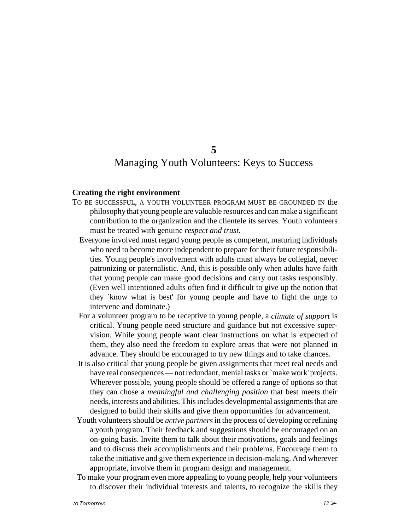### **5** Managing Youth Volunteers: Keys to Success

#### **Creating the right environment**

- TO BE SUCCESSFUL, A YOUTH VOLUNTEER PROGRAM MUST BE GROUNDED IN the philosophy that young people are valuable resources and can make a significant contribution to the organization and the clientele its serves. Youth volunteers must be treated with genuine *respect and trust*.
	- Everyone involved must regard young people as competent, maturing individuals who need to become more independent to prepare for their future responsibilities. Young people's involvement with adults must always be collegial, never patronizing or paternalistic. And, this is possible only when adults have faith that young people can make good decisions and carry out tasks responsibly. (Even well intentioned adults often find it difficult to give up the notion that they `know what is best' for young people and have to fight the urge to intervene and dominate.)
	- For a volunteer program to be receptive to young people, a *climate of support* is critical. Young people need structure and guidance but not excessive supervision. While young people want clear instructions on what is expected of them, they also need the freedom to explore areas that were not planned in advance. They should be encouraged to try new things and to take chances.
	- It is also critical that young people be given assignments that meet real needs and have real consequences — not redundant, menial tasks or `make work' projects. Wherever possible, young people should be offered a range of options so that they can chose a *meaningful and challenging position* that best meets their needs, interests and abilities. This includes developmental assignments that are designed to build their skills and give them opportunities for advancement.
	- Youth volunteers should be *active partners* in the process of developing or refining a youth program. Their feedback and suggestions should be encouraged on an on-going basis. Invite them to talk about their motivations, goals and feelings and to discuss their accomplishments and their problems. Encourage them to take the initiative and give them experience in decision-making. And wherever appropriate, involve them in program design and management.
	- To make your program even more appealing to young people, help your volunteers to discover their individual interests and talents, to recognize the skills they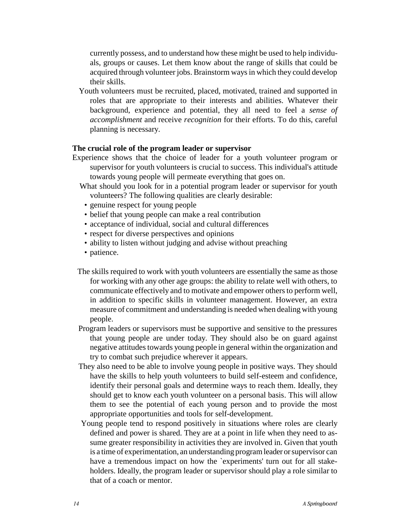currently possess, and to understand how these might be used to help individuals, groups or causes. Let them know about the range of skills that could be acquired through volunteer jobs. Brainstorm ways in which they could develop their skills.

 Youth volunteers must be recruited, placed, motivated, trained and supported in roles that are appropriate to their interests and abilities. Whatever their background, experience and potential, they all need to feel a *sense of accomplishment* and receive *recognition* for their efforts. To do this, careful planning is necessary.

#### **The crucial role of the program leader or supervisor**

- Experience shows that the choice of leader for a youth volunteer program or supervisor for youth volunteers is crucial to success. This individual's attitude towards young people will permeate everything that goes on.
	- What should you look for in a potential program leader or supervisor for youth volunteers? The following qualities are clearly desirable:
		- genuine respect for young people
		- belief that young people can make a real contribution
		- acceptance of individual, social and cultural differences
		- respect for diverse perspectives and opinions
		- ability to listen without judging and advise without preaching
		- patience.
	- The skills required to work with youth volunteers are essentially the same as those for working with any other age groups: the ability to relate well with others, to communicate effectively and to motivate and empower others to perform well, in addition to specific skills in volunteer management. However, an extra measure of commitment and understanding is needed when dealing with young people.
	- Program leaders or supervisors must be supportive and sensitive to the pressures that young people are under today. They should also be on guard against negative attitudes towards young people in general within the organization and try to combat such prejudice wherever it appears.
	- They also need to be able to involve young people in positive ways. They should have the skills to help youth volunteers to build self-esteem and confidence, identify their personal goals and determine ways to reach them. Ideally, they should get to know each youth volunteer on a personal basis. This will allow them to see the potential of each young person and to provide the most appropriate opportunities and tools for self-development.
	- Young people tend to respond positively in situations where roles are clearly defined and power is shared. They are at a point in life when they need to assume greater responsibility in activities they are involved in. Given that youth is a time of experimentation, an understanding program leader or supervisor can have a tremendous impact on how the 'experiments' turn out for all stakeholders. Ideally, the program leader or supervisor should play a role similar to that of a coach or mentor.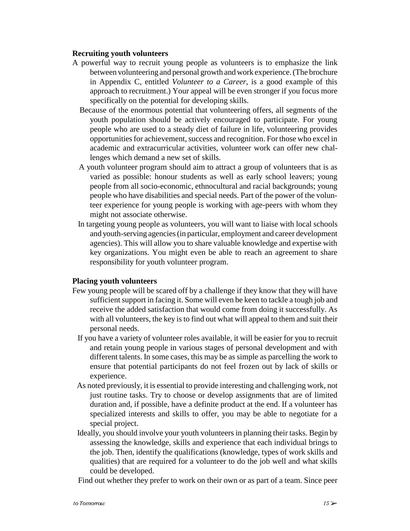#### **Recruiting youth volunteers**

- A powerful way to recruit young people as volunteers is to emphasize the link between volunteering and personal growth and work experience. (The brochure in Appendix C, entitled *Volunteer to a Career*, is a good example of this approach to recruitment.) Your appeal will be even stronger if you focus more specifically on the potential for developing skills.
	- Because of the enormous potential that volunteering offers, all segments of the youth population should be actively encouraged to participate. For young people who are used to a steady diet of failure in life, volunteering provides opportunities for achievement, success and recognition. For those who excel in academic and extracurricular activities, volunteer work can offer new challenges which demand a new set of skills.
	- A youth volunteer program should aim to attract a group of volunteers that is as varied as possible: honour students as well as early school leavers; young people from all socio-economic, ethnocultural and racial backgrounds; young people who have disabilities and special needs. Part of the power of the volunteer experience for young people is working with age-peers with whom they might not associate otherwise.
	- In targeting young people as volunteers, you will want to liaise with local schools and youth-serving agencies (in particular, employment and career development agencies). This will allow you to share valuable knowledge and expertise with key organizations. You might even be able to reach an agreement to share responsibility for youth volunteer program.

#### **Placing youth volunteers**

- Few young people will be scared off by a challenge if they know that they will have sufficient support in facing it. Some will even be keen to tackle a tough job and receive the added satisfaction that would come from doing it successfully. As with all volunteers, the key is to find out what will appeal to them and suit their personal needs.
	- If you have a variety of volunteer roles available, it will be easier for you to recruit and retain young people in various stages of personal development and with different talents. In some cases, this may be as simple as parcelling the work to ensure that potential participants do not feel frozen out by lack of skills or experience.
	- As noted previously, it is essential to provide interesting and challenging work, not just routine tasks. Try to choose or develop assignments that are of limited duration and, if possible, have a definite product at the end. If a volunteer has specialized interests and skills to offer, you may be able to negotiate for a special project.
	- Ideally, you should involve your youth volunteers in planning their tasks. Begin by assessing the knowledge, skills and experience that each individual brings to the job. Then, identify the qualifications (knowledge, types of work skills and qualities) that are required for a volunteer to do the job well and what skills could be developed.

Find out whether they prefer to work on their own or as part of a team. Since peer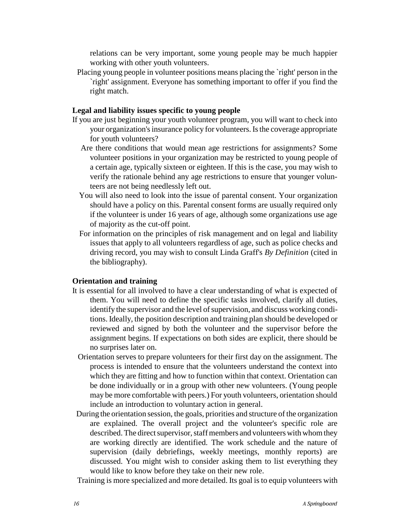relations can be very important, some young people may be much happier working with other youth volunteers.

 Placing young people in volunteer positions means placing the `right' person in the `right' assignment. Everyone has something important to offer if you find the right match.

#### **Legal and liability issues specific to young people**

- If you are just beginning your youth volunteer program, you will want to check into your organization's insurance policy for volunteers. Is the coverage appropriate for youth volunteers?
	- Are there conditions that would mean age restrictions for assignments? Some volunteer positions in your organization may be restricted to young people of a certain age, typically sixteen or eighteen. If this is the case, you may wish to verify the rationale behind any age restrictions to ensure that younger volunteers are not being needlessly left out.
	- You will also need to look into the issue of parental consent. Your organization should have a policy on this. Parental consent forms are usually required only if the volunteer is under 16 years of age, although some organizations use age of majority as the cut-off point.
	- For information on the principles of risk management and on legal and liability issues that apply to all volunteers regardless of age, such as police checks and driving record, you may wish to consult Linda Graff's *By Definition* (cited in the bibliography).

#### **Orientation and training**

- It is essential for all involved to have a clear understanding of what is expected of them. You will need to define the specific tasks involved, clarify all duties, identify the supervisor and the level of supervision, and discuss working conditions. Ideally, the position description and training plan should be developed or reviewed and signed by both the volunteer and the supervisor before the assignment begins. If expectations on both sides are explicit, there should be no surprises later on.
	- Orientation serves to prepare volunteers for their first day on the assignment. The process is intended to ensure that the volunteers understand the context into which they are fitting and how to function within that context. Orientation can be done individually or in a group with other new volunteers. (Young people may be more comfortable with peers.) For youth volunteers, orientation should include an introduction to voluntary action in general.
- During the orientation session, the goals, priorities and structure of the organization are explained. The overall project and the volunteer's specific role are described. The direct supervisor, staff members and volunteers with whom they are working directly are identified. The work schedule and the nature of supervision (daily debriefings, weekly meetings, monthly reports) are discussed. You might wish to consider asking them to list everything they would like to know before they take on their new role.

Training is more specialized and more detailed. Its goal is to equip volunteers with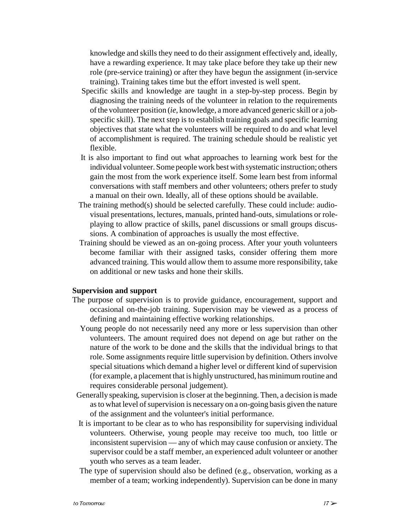knowledge and skills they need to do their assignment effectively and, ideally, have a rewarding experience. It may take place before they take up their new role (pre-service training) or after they have begun the assignment (in-service training). Training takes time but the effort invested is well spent.

- Specific skills and knowledge are taught in a step-by-step process. Begin by diagnosing the training needs of the volunteer in relation to the requirements of the volunteer position (*ie*, knowledge, a more advanced generic skill or a jobspecific skill). The next step is to establish training goals and specific learning objectives that state what the volunteers will be required to do and what level of accomplishment is required. The training schedule should be realistic yet flexible.
- It is also important to find out what approaches to learning work best for the individual volunteer. Some people work best with systematic instruction; others gain the most from the work experience itself. Some learn best from informal conversations with staff members and other volunteers; others prefer to study a manual on their own. Ideally, all of these options should be available.
- The training method(s) should be selected carefully. These could include: audiovisual presentations, lectures, manuals, printed hand-outs, simulations or roleplaying to allow practice of skills, panel discussions or small groups discussions. A combination of approaches is usually the most effective.
- Training should be viewed as an on-going process. After your youth volunteers become familiar with their assigned tasks, consider offering them more advanced training. This would allow them to assume more responsibility, take on additional or new tasks and hone their skills.

#### **Supervision and support**

- The purpose of supervision is to provide guidance, encouragement, support and occasional on-the-job training. Supervision may be viewed as a process of defining and maintaining effective working relationships.
	- Young people do not necessarily need any more or less supervision than other volunteers. The amount required does not depend on age but rather on the nature of the work to be done and the skills that the individual brings to that role. Some assignments require little supervision by definition. Others involve special situations which demand a higher level or different kind of supervision (for example, a placement that is highly unstructured, has minimum routine and requires considerable personal judgement).
- Generally speaking, supervision is closer at the beginning. Then, a decision is made as to what level of supervision is necessary on a on-going basis given the nature of the assignment and the volunteer's initial performance.
- It is important to be clear as to who has responsibility for supervising individual volunteers. Otherwise, young people may receive too much, too little or inconsistent supervision — any of which may cause confusion or anxiety. The supervisor could be a staff member, an experienced adult volunteer or another youth who serves as a team leader.
- The type of supervision should also be defined (e.g., observation, working as a member of a team; working independently). Supervision can be done in many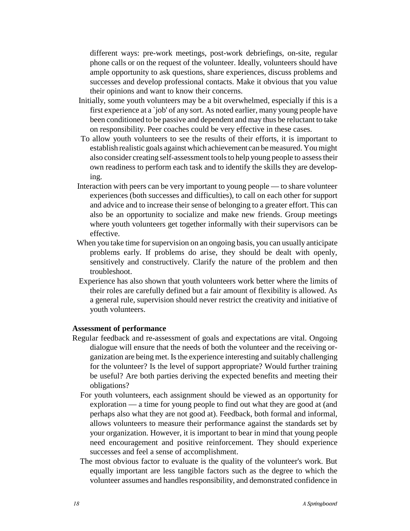different ways: pre-work meetings, post-work debriefings, on-site, regular phone calls or on the request of the volunteer. Ideally, volunteers should have ample opportunity to ask questions, share experiences, discuss problems and successes and develop professional contacts. Make it obvious that you value their opinions and want to know their concerns.

- Initially, some youth volunteers may be a bit overwhelmed, especially if this is a first experience at a `job' of any sort. As noted earlier, many young people have been conditioned to be passive and dependent and may thus be reluctant to take on responsibility. Peer coaches could be very effective in these cases.
- To allow youth volunteers to see the results of their efforts, it is important to establish realistic goals against which achievement can be measured. You might also consider creating self-assessment tools to help young people to assess their own readiness to perform each task and to identify the skills they are developing.
- Interaction with peers can be very important to young people to share volunteer experiences (both successes and difficulties), to call on each other for support and advice and to increase their sense of belonging to a greater effort. This can also be an opportunity to socialize and make new friends. Group meetings where youth volunteers get together informally with their supervisors can be effective.
- When you take time for supervision on an ongoing basis, you can usually anticipate problems early. If problems do arise, they should be dealt with openly, sensitively and constructively. Clarify the nature of the problem and then troubleshoot.
- Experience has also shown that youth volunteers work better where the limits of their roles are carefully defined but a fair amount of flexibility is allowed. As a general rule, supervision should never restrict the creativity and initiative of youth volunteers.

#### **Assessment of performance**

- Regular feedback and re-assessment of goals and expectations are vital. Ongoing dialogue will ensure that the needs of both the volunteer and the receiving organization are being met. Is the experience interesting and suitably challenging for the volunteer? Is the level of support appropriate? Would further training be useful? Are both parties deriving the expected benefits and meeting their obligations?
	- For youth volunteers, each assignment should be viewed as an opportunity for exploration — a time for young people to find out what they are good at (and perhaps also what they are not good at). Feedback, both formal and informal, allows volunteers to measure their performance against the standards set by your organization. However, it is important to bear in mind that young people need encouragement and positive reinforcement. They should experience successes and feel a sense of accomplishment.
	- The most obvious factor to evaluate is the quality of the volunteer's work. But equally important are less tangible factors such as the degree to which the volunteer assumes and handles responsibility, and demonstrated confidence in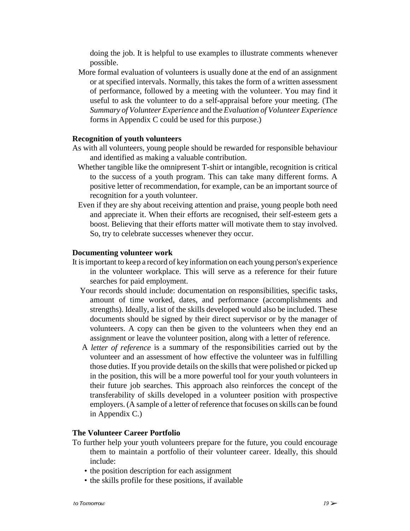doing the job. It is helpful to use examples to illustrate comments whenever possible.

 More formal evaluation of volunteers is usually done at the end of an assignment or at specified intervals. Normally, this takes the form of a written assessment of performance, followed by a meeting with the volunteer. You may find it useful to ask the volunteer to do a self-appraisal before your meeting. (The *Summary of Volunteer Experience* and the *Evaluation of Volunteer Experience* forms in Appendix C could be used for this purpose.)

#### **Recognition of youth volunteers**

- As with all volunteers, young people should be rewarded for responsible behaviour and identified as making a valuable contribution.
	- Whether tangible like the omnipresent T-shirt or intangible, recognition is critical to the success of a youth program. This can take many different forms. A positive letter of recommendation, for example, can be an important source of recognition for a youth volunteer.
	- Even if they are shy about receiving attention and praise, young people both need and appreciate it. When their efforts are recognised, their self-esteem gets a boost. Believing that their efforts matter will motivate them to stay involved. So, try to celebrate successes whenever they occur.

#### **Documenting volunteer work**

- It is important to keep a record of key information on each young person's experience in the volunteer workplace. This will serve as a reference for their future searches for paid employment.
	- Your records should include: documentation on responsibilities, specific tasks, amount of time worked, dates, and performance (accomplishments and strengths). Ideally, a list of the skills developed would also be included. These documents should be signed by their direct supervisor or by the manager of volunteers. A copy can then be given to the volunteers when they end an assignment or leave the volunteer position, along with a letter of reference.
	- A *letter of reference* is a summary of the responsibilities carried out by the volunteer and an assessment of how effective the volunteer was in fulfilling those duties. If you provide details on the skills that were polished or picked up in the position, this will be a more powerful tool for your youth volunteers in their future job searches. This approach also reinforces the concept of the transferability of skills developed in a volunteer position with prospective employers. (A sample of a letter of reference that focuses on skills can be found in Appendix C.)

#### **The Volunteer Career Portfolio**

- To further help your youth volunteers prepare for the future, you could encourage them to maintain a portfolio of their volunteer career. Ideally, this should include:
	- the position description for each assignment
	- the skills profile for these positions, if available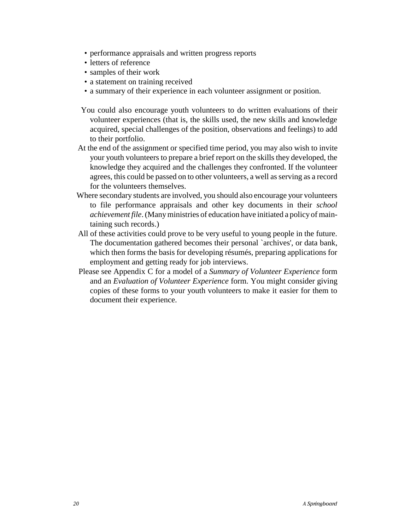- performance appraisals and written progress reports
- letters of reference
- samples of their work
- a statement on training received
- a summary of their experience in each volunteer assignment or position.
- You could also encourage youth volunteers to do written evaluations of their volunteer experiences (that is, the skills used, the new skills and knowledge acquired, special challenges of the position, observations and feelings) to add to their portfolio.
- At the end of the assignment or specified time period, you may also wish to invite your youth volunteers to prepare a brief report on the skills they developed, the knowledge they acquired and the challenges they confronted. If the volunteer agrees, this could be passed on to other volunteers, a well as serving as a record for the volunteers themselves.
- Where secondary students are involved, you should also encourage your volunteers to file performance appraisals and other key documents in their *school achievement file*. (Many ministries of education have initiated a policy of maintaining such records.)
- All of these activities could prove to be very useful to young people in the future. The documentation gathered becomes their personal `archives', or data bank, which then forms the basis for developing résumés, preparing applications for employment and getting ready for job interviews.
- Please see Appendix C for a model of a *Summary of Volunteer Experience* form and an *Evaluation of Volunteer Experience* form. You might consider giving copies of these forms to your youth volunteers to make it easier for them to document their experience.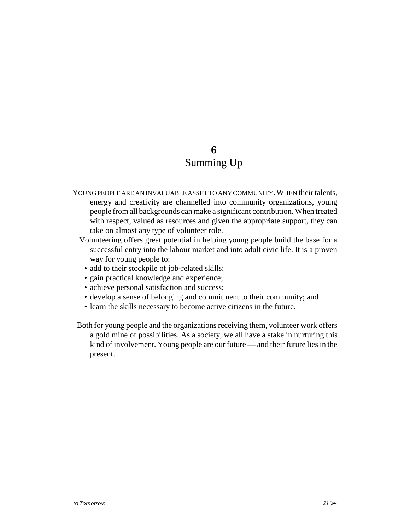### **6** Summing Up

- YOUNG PEOPLE ARE AN INVALUABLE ASSET TO ANY COMMUNITY. WHEN their talents, energy and creativity are channelled into community organizations, young people from all backgrounds can make a significant contribution. When treated with respect, valued as resources and given the appropriate support, they can take on almost any type of volunteer role.
	- Volunteering offers great potential in helping young people build the base for a successful entry into the labour market and into adult civic life. It is a proven way for young people to:
		- add to their stockpile of job-related skills;
		- gain practical knowledge and experience;
	- achieve personal satisfaction and success;
	- develop a sense of belonging and commitment to their community; and
	- learn the skills necessary to become active citizens in the future.
- Both for young people and the organizations receiving them, volunteer work offers a gold mine of possibilities. As a society, we all have a stake in nurturing this kind of involvement. Young people are our future — and their future lies in the present.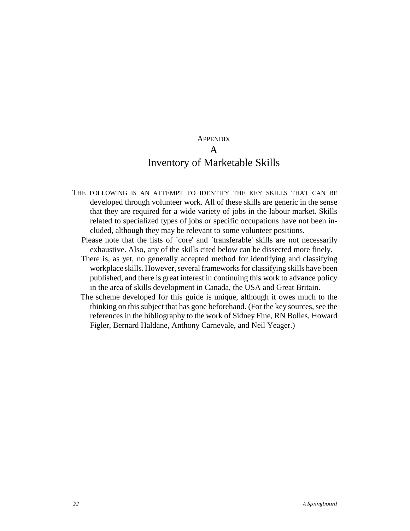#### **APPENDIX** A

# Inventory of Marketable Skills

- THE FOLLOWING IS AN ATTEMPT TO IDENTIFY THE KEY SKILLS THAT CAN BE developed through volunteer work. All of these skills are generic in the sense that they are required for a wide variety of jobs in the labour market. Skills related to specialized types of jobs or specific occupations have not been included, although they may be relevant to some volunteer positions.
	- Please note that the lists of `core' and `transferable' skills are not necessarily exhaustive. Also, any of the skills cited below can be dissected more finely.
	- There is, as yet, no generally accepted method for identifying and classifying workplace skills. However, several frameworks for classifying skills have been published, and there is great interest in continuing this work to advance policy in the area of skills development in Canada, the USA and Great Britain.
	- The scheme developed for this guide is unique, although it owes much to the thinking on this subject that has gone beforehand. (For the key sources, see the references in the bibliography to the work of Sidney Fine, RN Bolles, Howard Figler, Bernard Haldane, Anthony Carnevale, and Neil Yeager.)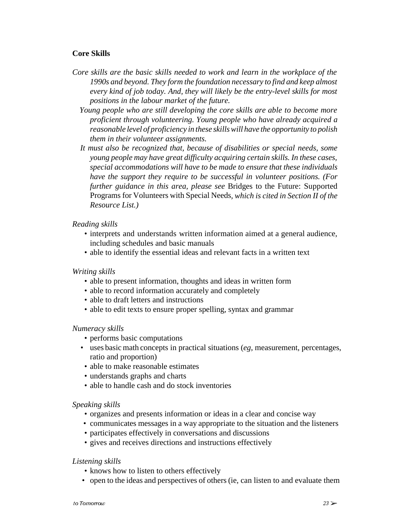#### **Core Skills**

- *Core skills are the basic skills needed to work and learn in the workplace of the 1990s and beyond. They form the foundation necessary to find and keep almost every kind of job today. And, they will likely be the entry-level skills for most positions in the labour market of the future.*
	- *Young people who are still developing the core skills are able to become more proficient through volunteering. Young people who have already acquired a reasonable level of proficiency in these skills will have the opportunity to polish them in their volunteer assignments.*
	- *It must also be recognized that, because of disabilities or special needs, some young people may have great difficulty acquiring certain skills. In these cases, special accommodations will have to be made to ensure that these individuals have the support they require to be successful in volunteer positions. (For further guidance in this area, please see* Bridges to the Future: Supported Programs for Volunteers with Special Needs*, which is cited in Section II of the Resource List.)*

#### *Reading skills*

- interprets and understands written information aimed at a general audience, including schedules and basic manuals
- able to identify the essential ideas and relevant facts in a written text

#### *Writing skills*

- able to present information, thoughts and ideas in written form
- able to record information accurately and completely
- able to draft letters and instructions
- able to edit texts to ensure proper spelling, syntax and grammar

#### *Numeracy skills*

- performs basic computations
- uses basic math concepts in practical situations (*eg*, measurement, percentages, ratio and proportion)
- able to make reasonable estimates
- understands graphs and charts
- able to handle cash and do stock inventories

#### *Speaking skills*

- organizes and presents information or ideas in a clear and concise way
- communicates messages in a way appropriate to the situation and the listeners
- participates effectively in conversations and discussions
- gives and receives directions and instructions effectively

#### *Listening skills*

- knows how to listen to others effectively
- open to the ideas and perspectives of others (ie, can listen to and evaluate them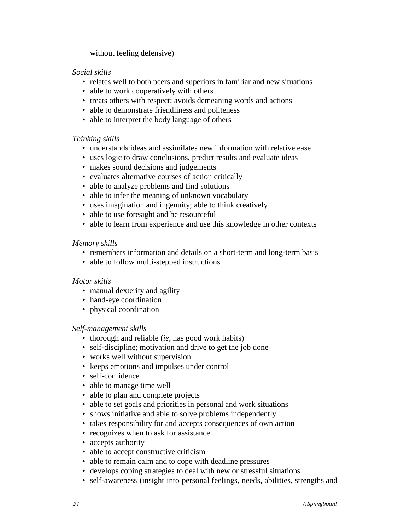without feeling defensive)

#### *Social skills*

- relates well to both peers and superiors in familiar and new situations
- able to work cooperatively with others
- treats others with respect; avoids demeaning words and actions
- able to demonstrate friendliness and politeness
- able to interpret the body language of others

#### *Thinking skills*

- understands ideas and assimilates new information with relative ease
- uses logic to draw conclusions, predict results and evaluate ideas
- makes sound decisions and judgements
- evaluates alternative courses of action critically
- able to analyze problems and find solutions
- able to infer the meaning of unknown vocabulary
- uses imagination and ingenuity; able to think creatively
- able to use foresight and be resourceful
- able to learn from experience and use this knowledge in other contexts

#### *Memory skills*

- remembers information and details on a short-term and long-term basis
- able to follow multi-stepped instructions

#### *Motor skills*

- manual dexterity and agility
- hand-eye coordination
- physical coordination

#### *Self-management skills*

- thorough and reliable (*ie*, has good work habits)
- self-discipline; motivation and drive to get the job done
- works well without supervision
- keeps emotions and impulses under control
- self-confidence
- able to manage time well
- able to plan and complete projects
- able to set goals and priorities in personal and work situations
- shows initiative and able to solve problems independently
- takes responsibility for and accepts consequences of own action
- recognizes when to ask for assistance
- accepts authority
- able to accept constructive criticism
- able to remain calm and to cope with deadline pressures
- develops coping strategies to deal with new or stressful situations
- self-awareness (insight into personal feelings, needs, abilities, strengths and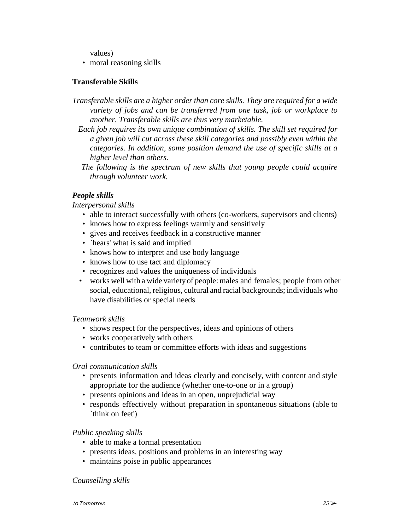values)

• moral reasoning skills

#### **Transferable Skills**

- *Transferable skills are a higher order than core skills. They are required for a wide variety of jobs and can be transferred from one task, job or workplace to another. Transferable skills are thus very marketable.* 
	- *Each job requires its own unique combination of skills. The skill set required for a given job will cut across these skill categories and possibly even within the categories. In addition, some position demand the use of specific skills at a higher level than others.*
	- *The following is the spectrum of new skills that young people could acquire through volunteer work.*

#### *People skills*

#### *Interpersonal skills*

- able to interact successfully with others (co-workers, supervisors and clients)
- knows how to express feelings warmly and sensitively
- gives and receives feedback in a constructive manner
- `hears' what is said and implied
- knows how to interpret and use body language
- knows how to use tact and diplomacy
- recognizes and values the uniqueness of individuals
- works well with a wide variety of people: males and females; people from other social, educational, religious, cultural and racial backgrounds; individuals who have disabilities or special needs

#### *Teamwork skills*

- shows respect for the perspectives, ideas and opinions of others
- works cooperatively with others
- contributes to team or committee efforts with ideas and suggestions

#### *Oral communication skills*

- presents information and ideas clearly and concisely, with content and style appropriate for the audience (whether one-to-one or in a group)
- presents opinions and ideas in an open, unprejudicial way
- responds effectively without preparation in spontaneous situations (able to `think on feet')

#### *Public speaking skills*

- able to make a formal presentation
- presents ideas, positions and problems in an interesting way
- maintains poise in public appearances

#### *Counselling skills*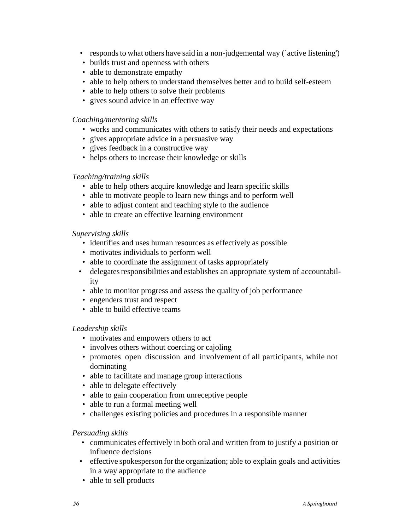- responds to what others have said in a non-judgemental way (`active listening')
- builds trust and openness with others
- able to demonstrate empathy
- able to help others to understand themselves better and to build self-esteem
- able to help others to solve their problems
- gives sound advice in an effective way

#### *Coaching/mentoring skills*

- works and communicates with others to satisfy their needs and expectations
- gives appropriate advice in a persuasive way
- gives feedback in a constructive way
- helps others to increase their knowledge or skills

#### *Teaching/training skills*

- able to help others acquire knowledge and learn specific skills
- able to motivate people to learn new things and to perform well
- able to adjust content and teaching style to the audience
- able to create an effective learning environment

#### *Supervising skills*

- identifies and uses human resources as effectively as possible
- motivates individuals to perform well
- able to coordinate the assignment of tasks appropriately
- delegates responsibilities and establishes an appropriate system of accountability
- able to monitor progress and assess the quality of job performance
- engenders trust and respect
- able to build effective teams

#### *Leadership skills*

- motivates and empowers others to act
- involves others without coercing or cajoling
- promotes open discussion and involvement of all participants, while not dominating
- able to facilitate and manage group interactions
- able to delegate effectively
- able to gain cooperation from unreceptive people
- able to run a formal meeting well
- challenges existing policies and procedures in a responsible manner

#### *Persuading skills*

- communicates effectively in both oral and written from to justify a position or influence decisions
- effective spokesperson for the organization; able to explain goals and activities in a way appropriate to the audience
- able to sell products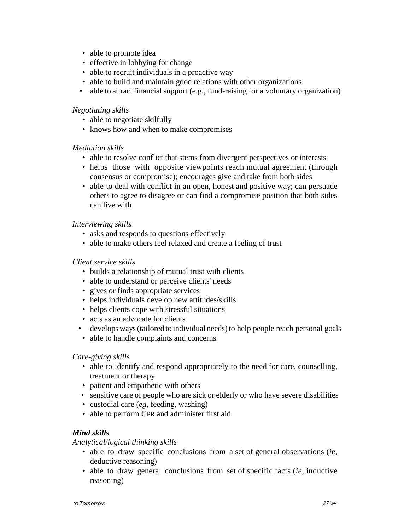- able to promote idea
- effective in lobbying for change
- able to recruit individuals in a proactive way
- able to build and maintain good relations with other organizations
- able to attract financial support (e.g., fund-raising for a voluntary organization)

#### *Negotiating skills*

- able to negotiate skilfully
- knows how and when to make compromises

#### *Mediation skills*

- able to resolve conflict that stems from divergent perspectives or interests
- helps those with opposite viewpoints reach mutual agreement (through consensus or compromise); encourages give and take from both sides
- able to deal with conflict in an open, honest and positive way; can persuade others to agree to disagree or can find a compromise position that both sides can live with

#### *Interviewing skills*

- asks and responds to questions effectively
- able to make others feel relaxed and create a feeling of trust

#### *Client service skills*

- builds a relationship of mutual trust with clients
- able to understand or perceive clients' needs
- gives or finds appropriate services
- helps individuals develop new attitudes/skills
- helps clients cope with stressful situations
- acts as an advocate for clients
- develops ways (tailored to individual needs) to help people reach personal goals
- able to handle complaints and concerns

#### *Care-giving skills*

- able to identify and respond appropriately to the need for care, counselling, treatment or therapy
- patient and empathetic with others
- sensitive care of people who are sick or elderly or who have severe disabilities
- custodial care (*eg*, feeding, washing)
- able to perform CPR and administer first aid

#### *Mind skills*

*Analytical/logical thinking skills*

- able to draw specific conclusions from a set of general observations (*ie*, deductive reasoning)
- able to draw general conclusions from set of specific facts (*ie*, inductive reasoning)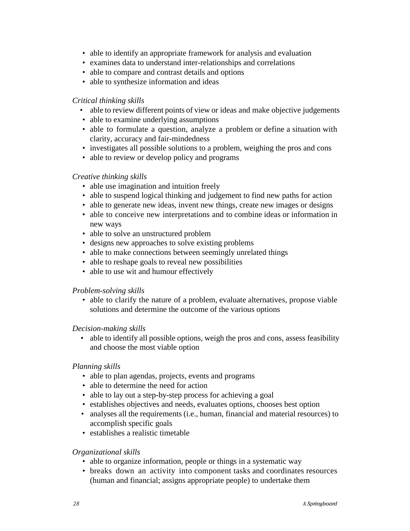- able to identify an appropriate framework for analysis and evaluation
- examines data to understand inter-relationships and correlations
- able to compare and contrast details and options
- able to synthesize information and ideas

#### *Critical thinking skills*

- able to review different points of view or ideas and make objective judgements
- able to examine underlying assumptions
- able to formulate a question, analyze a problem or define a situation with clarity, accuracy and fair-mindedness
- investigates all possible solutions to a problem, weighing the pros and cons
- able to review or develop policy and programs

#### *Creative thinking skills*

- able use imagination and intuition freely
- able to suspend logical thinking and judgement to find new paths for action
- able to generate new ideas, invent new things, create new images or designs
- able to conceive new interpretations and to combine ideas or information in new ways
- able to solve an unstructured problem
- designs new approaches to solve existing problems
- able to make connections between seemingly unrelated things
- able to reshape goals to reveal new possibilities
- able to use wit and humour effectively

#### *Problem-solving skills*

 • able to clarify the nature of a problem, evaluate alternatives, propose viable solutions and determine the outcome of the various options

#### *Decision-making skills*

 • able to identify all possible options, weigh the pros and cons, assess feasibility and choose the most viable option

#### *Planning skills*

- able to plan agendas, projects, events and programs
- able to determine the need for action
- able to lay out a step-by-step process for achieving a goal
- establishes objectives and needs, evaluates options, chooses best option
- analyses all the requirements (i.e., human, financial and material resources) to accomplish specific goals
- establishes a realistic timetable

#### *Organizational skills*

- able to organize information, people or things in a systematic way
- breaks down an activity into component tasks and coordinates resources (human and financial; assigns appropriate people) to undertake them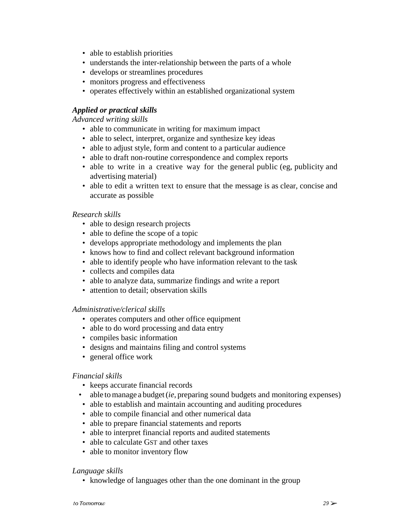- able to establish priorities
- understands the inter-relationship between the parts of a whole
- develops or streamlines procedures
- monitors progress and effectiveness
- operates effectively within an established organizational system

#### *Applied or practical skills*

*Advanced writing skills*

- able to communicate in writing for maximum impact
- able to select, interpret, organize and synthesize key ideas
- able to adjust style, form and content to a particular audience
- able to draft non-routine correspondence and complex reports
- able to write in a creative way for the general public (eg, publicity and advertising material)
- able to edit a written text to ensure that the message is as clear, concise and accurate as possible

#### *Research skills*

- able to design research projects
- able to define the scope of a topic
- develops appropriate methodology and implements the plan
- knows how to find and collect relevant background information
- able to identify people who have information relevant to the task
- collects and compiles data
- able to analyze data, summarize findings and write a report
- attention to detail; observation skills

#### *Administrative/clerical skills*

- operates computers and other office equipment
- able to do word processing and data entry
- compiles basic information
- designs and maintains filing and control systems
- general office work

#### *Financial skills*

- keeps accurate financial records
- able to manage a budget (*ie*, preparing sound budgets and monitoring expenses)
- able to establish and maintain accounting and auditing procedures
- able to compile financial and other numerical data
- able to prepare financial statements and reports
- able to interpret financial reports and audited statements
- able to calculate G<sub>ST</sub> and other taxes
- able to monitor inventory flow

#### *Language skills*

• knowledge of languages other than the one dominant in the group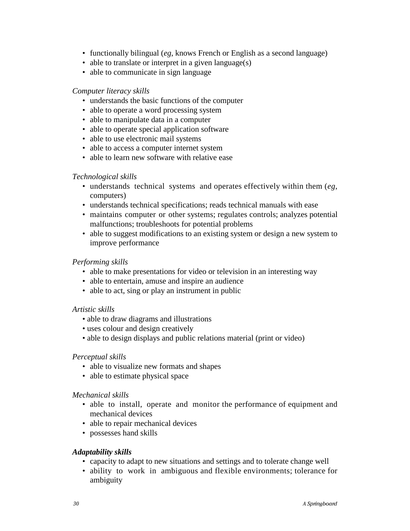- functionally bilingual (*eg*, knows French or English as a second language)
- able to translate or interpret in a given language(s)
- able to communicate in sign language

#### *Computer literacy skills*

- understands the basic functions of the computer
- able to operate a word processing system
- able to manipulate data in a computer
- able to operate special application software
- able to use electronic mail systems
- able to access a computer internet system
- able to learn new software with relative ease

#### *Technological skills*

- understands technical systems and operates effectively within them (*eg*, computers)
- understands technical specifications; reads technical manuals with ease
- maintains computer or other systems; regulates controls; analyzes potential malfunctions; troubleshoots for potential problems
- able to suggest modifications to an existing system or design a new system to improve performance

#### *Performing skills*

- able to make presentations for video or television in an interesting way
- able to entertain, amuse and inspire an audience
- able to act, sing or play an instrument in public

#### *Artistic skills*

- able to draw diagrams and illustrations
- uses colour and design creatively
- able to design displays and public relations material (print or video)

#### *Perceptual skills*

- able to visualize new formats and shapes
- able to estimate physical space

#### *Mechanical skills*

- able to install, operate and monitor the performance of equipment and mechanical devices
- able to repair mechanical devices
- possesses hand skills

#### *Adaptability skills*

- capacity to adapt to new situations and settings and to tolerate change well
- ability to work in ambiguous and flexible environments; tolerance for ambiguity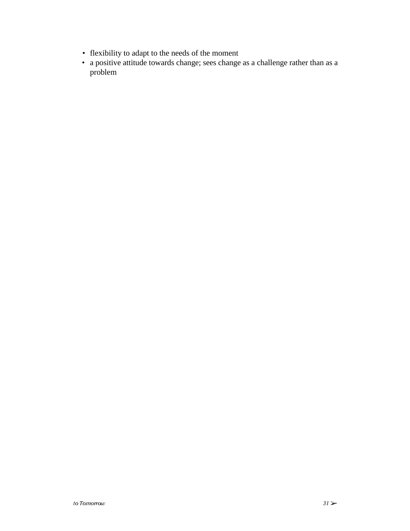- flexibility to adapt to the needs of the moment
- a positive attitude towards change; sees change as a challenge rather than as a problem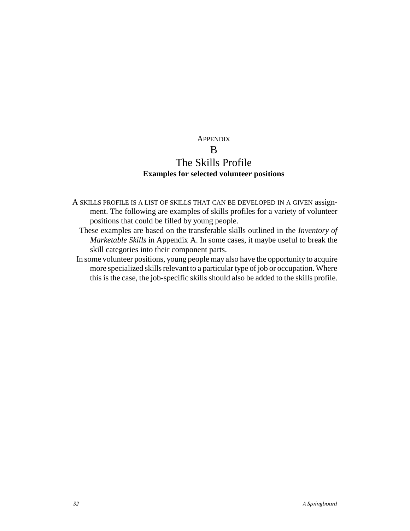#### **APPENDIX**

### B The Skills Profile **Examples for selected volunteer positions**

- A SKILLS PROFILE IS A LIST OF SKILLS THAT CAN BE DEVELOPED IN A GIVEN assignment. The following are examples of skills profiles for a variety of volunteer positions that could be filled by young people.
	- These examples are based on the transferable skills outlined in the *Inventory of Marketable Skills* in Appendix A. In some cases, it maybe useful to break the skill categories into their component parts.
- In some volunteer positions, young people may also have the opportunity to acquire more specialized skills relevant to a particular type of job or occupation. Where this is the case, the job-specific skills should also be added to the skills profile.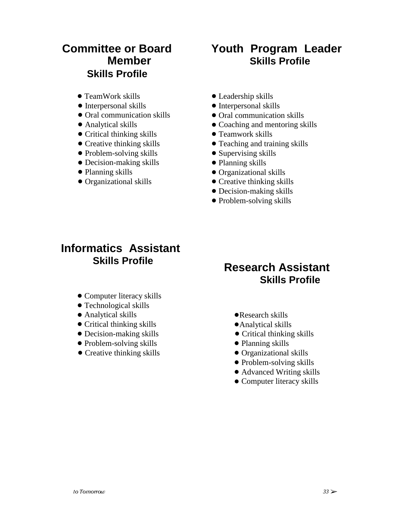### **Committee or Board Member Skills Profile**

- TeamWork skills
- Interpersonal skills
- Oral communication skills
- Analytical skills
- Critical thinking skills
- Creative thinking skills
- Problem-solving skills
- Decision-making skills
- Planning skills
- Organizational skills

# **Youth Program Leader Skills Profile**

- Leadership skills
- $\bullet$  Interpersonal skills
- Oral communication skills
- Coaching and mentoring skills
- Teamwork skills
- Teaching and training skills
- Supervising skills
- Planning skills
- Organizational skills
- Creative thinking skills
- Decision-making skills
- Problem-solving skills

# **Informatics Assistant Skills Profile**

- Computer literacy skills
- Technological skills
- Analytical skills
- Critical thinking skills
- Decision-making skills
- Problem-solving skills
- Creative thinking skills

### **Research Assistant Skills Profile**

- Research skills
- Analytical skills
- Critical thinking skills
- Planning skills
- Organizational skills
- Problem-solving skills
- Advanced Writing skills
- Computer literacy skills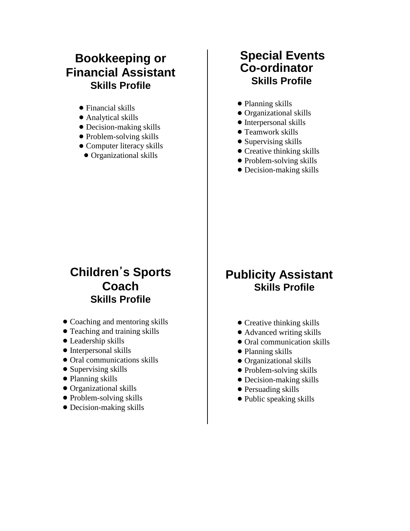# **Bookkeeping or Financial Assistant Skills Profile**

- Financial skills
- Analytical skills
- Decision-making skills
- Problem-solving skills
- Computer literacy skills
- Organizational skills

# **Special Events Co-ordinator Skills Profile**

- Planning skills
- Organizational skills
- Interpersonal skills
- Teamwork skills
- Supervising skills
- Creative thinking skills
- Problem-solving skills
- Decision-making skills

# **Childrens Sports Coach Skills Profile**

- Coaching and mentoring skills
- Teaching and training skills
- Leadership skills
- Interpersonal skills
- Oral communications skills
- Supervising skills
- Planning skills
- Organizational skills
- Problem-solving skills
- Decision-making skills

# **Publicity Assistant Skills Profile**

- Creative thinking skills
- Advanced writing skills
- Oral communication skills
- Planning skills
- Organizational skills
- Problem-solving skills
- Decision-making skills
- Persuading skills
- Public speaking skills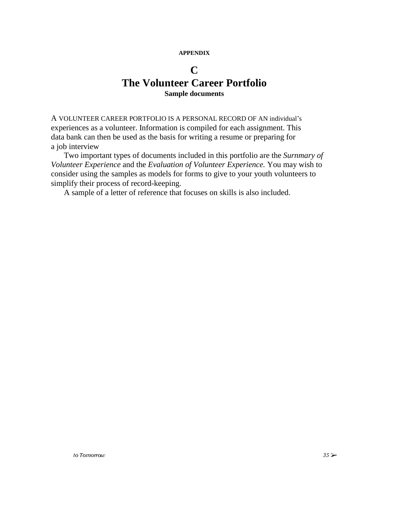#### **APPENDIX**

### **C The Volunteer Career Portfolio Sample documents**

A VOLUNTEER CAREER PORTFOLIO IS A PERSONAL RECORD OF AN individual's experiences as a volunteer. Information is compiled for each assignment. This data bank can then be used as the basis for writing a resume or preparing for a job interview

Two important types of documents included in this portfolio are the *Surnmary of Volunteer Experience* and the *Evaluation of Volunteer Experience.* You may wish to consider using the samples as models for forms to give to your youth volunteers to simplify their process of record-keeping.

A sample of a letter of reference that focuses on skills is also included.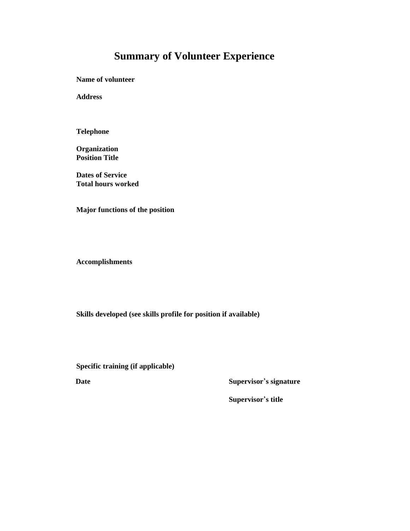# **Summary of Volunteer Experience**

**Name of volunteer**

**Address**

**Telephone**

**Organization Position Title**

**Dates of Service Total hours worked**

**Major functions of the position**

**Accomplishments**

**Skills developed (see skills profile for position if available)**

**Specific training (if applicable)**<br> **Date** Supervisor's signature

**Supervisor**'s signature<br>Supervisor's title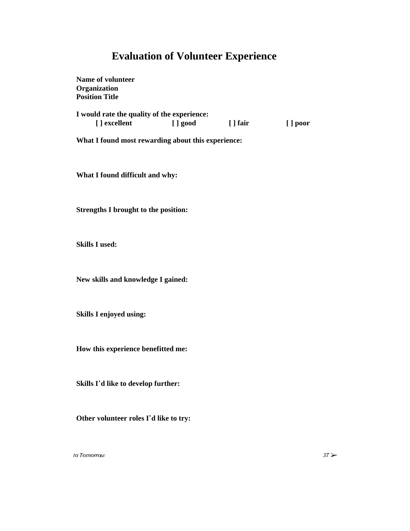### **Evaluation of Volunteer Experience**

**Name of volunteer Organization Position Title I would rate the quality of the experience: [ ] excellent [ ] good [ ] fair [ ] poor What I found most rewarding about this experience:**

**What I found difficult and why:**

**Strengths I brought to the position:**

**Skills I used:**

**New skills and knowledge I gained:**

**Skills I enjoyed using:**

**How this experience benefitted me:**

**Skills Id like to develop further:**

**Other volunteer roles Id like to try:**

to Tomorrow  $37 \geqslant$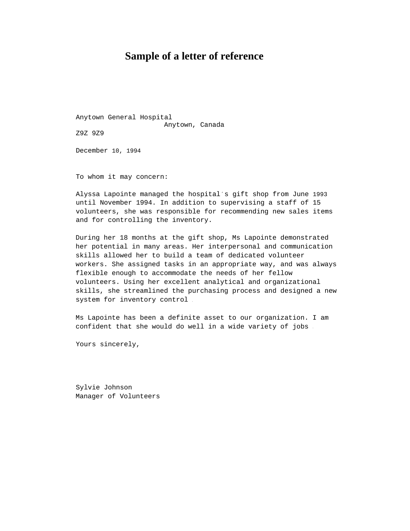### **Sample of a letter of reference**

Anytown General Hospital Anytown, Canada Z9Z 9Z9

December 10, 1994

To whom it may concern:

Alyssa Lapointe managed the hospital's gift shop from June 1993 until November 1994. In addition to supervising a staff of 15 volunteers, she was responsible for recommending new sales items and for controlling the inventory.

During her 18 months at the gift shop, Ms Lapointe demonstrated her potential in many areas. Her interpersonal and communication skills allowed her to build a team of dedicated volunteer workers. She assigned tasks in an appropriate way, and was always flexible enough to accommodate the needs of her fellow volunteers. Using her excellent analytical and organizational skills, she streamlined the purchasing process and designed a new system for inventory control .

Ms Lapointe has been a definite asset to our organization. I am confident that she would do well in a wide variety of jobs .

Yours sincerely,

Sylvie Johnson Manager of Volunteers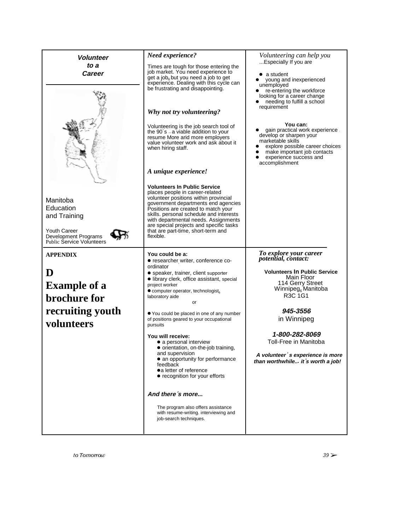| Need experience?                                                                                                                                                                                                                                                                                                                                                               | Volunteering can help you                                                                                                                                                                                 |
|--------------------------------------------------------------------------------------------------------------------------------------------------------------------------------------------------------------------------------------------------------------------------------------------------------------------------------------------------------------------------------|-----------------------------------------------------------------------------------------------------------------------------------------------------------------------------------------------------------|
|                                                                                                                                                                                                                                                                                                                                                                                | Especially If you are                                                                                                                                                                                     |
| Times are tough for those entering the<br>job market. You need experience to<br>get a job <sub>6</sub> but you need a job to get<br>experience. Dealing with this cycle can<br>be frustrating and disappointing.                                                                                                                                                               | $\bullet$ a student<br>young and inexperienced<br>unemployed<br>re-entering the workforce<br>looking for a career change<br>needing to fulfill a school                                                   |
| Why not try volunteering?                                                                                                                                                                                                                                                                                                                                                      | requirement                                                                                                                                                                                               |
| Volunteering is the job search tool of<br>the 90 $s - a$ viable addition to your<br>resume More arid more employers<br>value volunteer work and ask about it<br>when hiring staff.                                                                                                                                                                                             | You can:<br>gain practical work experience.<br>develop or sharpen your<br>marketable skills<br>explore possible career choices<br>make important job contacts<br>experience success and<br>accomplishment |
|                                                                                                                                                                                                                                                                                                                                                                                |                                                                                                                                                                                                           |
| <b>Volunteers In Public Service</b><br>places people in career-related<br>volunteer positions within provincial<br>government departments end agencies<br>Positions are created to match your<br>skills. personal schedule and interests<br>with departmental needs. Assignments<br>are special projects and specific tasks<br>that are part-time, short-term and<br>flexible. |                                                                                                                                                                                                           |
| You could be a:                                                                                                                                                                                                                                                                                                                                                                | To explore your career<br>potential, contact:                                                                                                                                                             |
| ordinator<br>· speaker, trainer, client supporter                                                                                                                                                                                                                                                                                                                              | <b>Volunteers In Public Service</b>                                                                                                                                                                       |
| • library clerk, office assistant, special<br>project worker                                                                                                                                                                                                                                                                                                                   | Main Floor<br>114 Gerry Street<br>Winnipeg <sub>6</sub> Manitoba                                                                                                                                          |
| laboratory aide<br>or                                                                                                                                                                                                                                                                                                                                                          | R3C 1G1                                                                                                                                                                                                   |
| ● You could be placed in one of any number<br>of positions geared to your occupational<br>pursuits                                                                                                                                                                                                                                                                             | 945-3556<br>in Winnipeg                                                                                                                                                                                   |
| You will receive:                                                                                                                                                                                                                                                                                                                                                              | 1-800-282-8069<br>Toll-Free in Manitoba                                                                                                                                                                   |
| · orientation, on-the-job training,<br>and supervision<br>• an opportunity for performance<br>feedback<br>•a letter of reference<br>• recognition for your efforts                                                                                                                                                                                                             | A volunteer's experience is more<br>than worthwhile it s worth a job!                                                                                                                                     |
| And there s more                                                                                                                                                                                                                                                                                                                                                               |                                                                                                                                                                                                           |
| The program also offers assistance<br>with resume-writing. interviewing and<br>job-search techniques.                                                                                                                                                                                                                                                                          |                                                                                                                                                                                                           |
|                                                                                                                                                                                                                                                                                                                                                                                | A unique experience!<br>• researcher writer, conference co-<br>$\bullet$ computer operator, technologist.<br>• a personal interview                                                                       |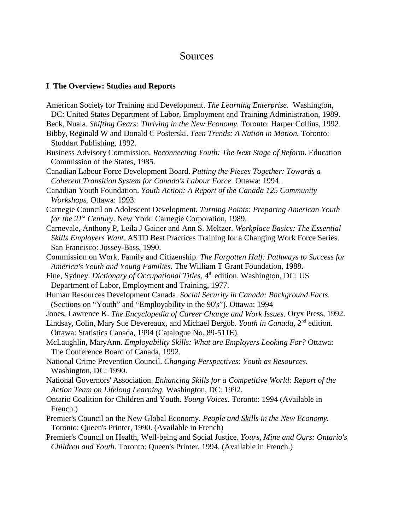#### **Sources**

#### **I The Overview: Studies and Reports**

- American Society for Training and Development. *The Learning Enterprise*. Washington,
- DC: United States Department of Labor, Employment and Training Administration, 1989. Beck, Nuala. *Shifting Gears: Thriving in the New Economy.* Toronto: Harper Collins, 1992.
- Bibby, Reginald W and Donald C Posterski. *Teen Trends: A Nation in Motion.* Toronto: Stoddart Publishing, 1992.
- Business Advisory Commission. *Reconnecting Youth: The Next Stage of Reform.* Education Commission of the States, 1985.
- Canadian Labour Force Development Board. *Putting the Pieces Together: Towards a Coherent Transition System for Canada's Labour Force.* Ottawa: 1994.
- Canadian Youth Foundation. *Youth Action: A Report of the Canada 125 Community Workshops.* Ottawa: 1993.
- Carnegie Council on Adolescent Development. *Turning Points: Preparing American Youth for the 21<sup>st</sup> Century*. New York: Carnegie Corporation, 1989.
- Carnevale, Anthony P, Leila J Gainer and Ann S. Meltzer. *Workplace Basics: The Essential Skills Employers Want.* ASTD Best Practices Training for a Changing Work Force Series. San Francisco: Jossey-Bass, 1990.
- Commission on Work, Family and Citizenship. *The Forgotten Half: Pathways to Success for America's Youth and Young Families.* The William T Grant Foundation, 1988.
- Fine, Sydney. *Dictionary of Occupational Titles*, 4<sup>th</sup> edition. Washington, DC: US Department of Labor, Employment and Training, 1977.
- Human Resources Development Canada. *Social Security in Canada: Background Facts.* (Sections on "Youth" and "Employability in the 90's"). Ottawa: 1994
- Jones, Lawrence K. *The Encyclopedia of Career Change and Work Issues.* Oryx Press, 1992.
- Lindsay, Colin, Mary Sue Devereaux, and Michael Bergob. *Youth in Canada*, 2<sup>nd</sup> edition. Ottawa: Statistics Canada, 1994 (Catalogue No. 89-511E).
- McLaughlin, MaryAnn. *Employability Skills: What are Employers Looking For?* Ottawa: The Conference Board of Canada, 1992.
- National Crime Prevention Council. *Changing Perspectives: Youth as Resources.* Washington, DC: 1990.
- National Governors' Association. *Enhancing Skills for a Competitive World: Report of the Action Team on Lifelong Learning.* Washington, DC: 1992.
- Ontario Coalition for Children and Youth. *Young Voices*. Toronto: 1994 (Available in French.)
- Premier's Council on the New Global Economy. *People and Skills in the New Economy*. Toronto: Queen's Printer, 1990. (Available in French)
- Premier's Council on Health, Well-being and Social Justice. *Yours, Mine and Ours: Ontario's Children and Youth*. Toronto: Queen's Printer, 1994. (Available in French.)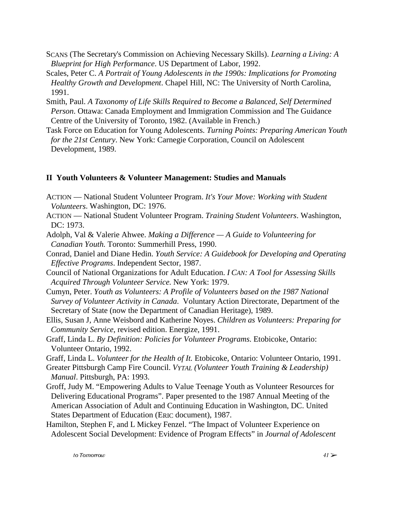- SCANS (The Secretary's Commission on Achieving Necessary Skills). *Learning a Living: A Blueprint for High Performance*. US Department of Labor, 1992.
- Scales, Peter C. *A Portrait of Young Adolescents in the 1990s: Implications for Promoting Healthy Growth and Development*. Chapel Hill, NC: The University of North Carolina, 1991.
- Smith, Paul. *A Taxonomy of Life Skills Required to Become a Balanced, Self Determined Person*. Ottawa: Canada Employment and Immigration Commission and The Guidance Centre of the University of Toronto, 1982. (Available in French.)
- Task Force on Education for Young Adolescents. *Turning Points: Preparing American Youth for the 21st Century*. New York: Carnegie Corporation, Council on Adolescent Development, 1989.

#### **II Youth Volunteers & Volunteer Management: Studies and Manuals**

- ACTION National Student Volunteer Program. *It's Your Move: Working with Student Volunteers*. Washington, DC: 1976.
- ACTION National Student Volunteer Program. *Training Student Volunteers*. Washington, DC: 1973.
- Adolph, Val & Valerie Ahwee. *Making a Difference A Guide to Volunteering for Canadian Youth.* Toronto: Summerhill Press, 1990.
- Conrad, Daniel and Diane Hedin. *Youth Service: A Guidebook for Developing and Operating Effective Programs*. Independent Sector, 1987.
- Council of National Organizations for Adult Education. *I CAN: A Tool for Assessing Skills Acquired Through Volunteer Service*. New York: 1979.
- Cumyn, Peter. *Youth as Volunteers: A Profile of Volunteers based on the 1987 National Survey of Volunteer Activity in Canada*. Voluntary Action Directorate, Department of the Secretary of State (now the Department of Canadian Heritage), 1989.
- Ellis, Susan J, Anne Weisbord and Katherine Noyes. *Children as Volunteers: Preparing for Community Service*, revised edition. Energize, 1991.
- Graff, Linda L. *By Definition: Policies for Volunteer Programs*. Etobicoke, Ontario: Volunteer Ontario, 1992.
- Graff, Linda L. *Volunteer for the Health of It.* Etobicoke, Ontario: Volunteer Ontario, 1991.
- Greater Pittsburgh Camp Fire Council. *VYTAL (Volunteer Youth Training & Leadership) Manual*. Pittsburgh, PA: 1993.
- Groff, Judy M. "Empowering Adults to Value Teenage Youth as Volunteer Resources for Delivering Educational Programs". Paper presented to the 1987 Annual Meeting of the American Association of Adult and Continuing Education in Washington, DC. United States Department of Education (ERIC document), 1987.
- Hamilton, Stephen F, and L Mickey Fenzel. "The Impact of Volunteer Experience on Adolescent Social Development: Evidence of Program Effects" in *Journal of Adolescent*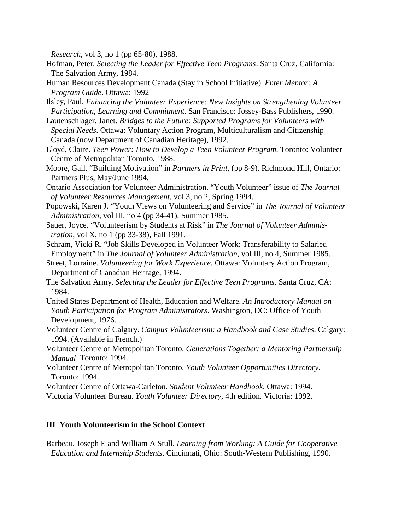*Research*, vol 3, no 1 (pp 65-80), 1988.

- Hofman, Peter. *Selecting the Leader for Effective Teen Programs*. Santa Cruz, California: The Salvation Army, 1984.
- Human Resources Development Canada (Stay in School Initiative). *Enter Mentor: A Program Guide*. Ottawa: 1992
- Ilsley, Paul. *Enhancing the Volunteer Experience: New Insights on Strengthening Volunteer Participation, Learning and Commitment*. San Francisco: Jossey-Bass Publishers, 1990.
- Lautenschlager, Janet. *Bridges to the Future: Supported Programs for Volunteers with Special Needs*. Ottawa: Voluntary Action Program, Multiculturalism and Citizenship Canada (now Department of Canadian Heritage), 1992.
- Lloyd, Claire. *Teen Power: How to Develop a Teen Volunteer Program*. Toronto: Volunteer Centre of Metropolitan Toronto, 1988.
- Moore, Gail. "Building Motivation" in *Partners in Print*, (pp 8-9). Richmond Hill, Ontario: Partners Plus, May/June 1994.
- Ontario Association for Volunteer Administration. "Youth Volunteer" issue of *The Journal of Volunteer Resources Management*, vol 3, no 2, Spring 1994.
- Popowski, Karen J. "Youth Views on Volunteering and Service" in *The Journal of Volunteer Administration*, vol III, no 4 (pp 34-41). Summer 1985.
- Sauer, Joyce. "Volunteerism by Students at Risk" in *The Journal of Volunteer Administration*, vol X, no 1 (pp 33-38), Fall 1991.
- Schram, Vicki R. "Job Skills Developed in Volunteer Work: Transferability to Salaried Employment" in *The Journal of Volunteer Administration*, vol III, no 4, Summer 1985.
- Street, Lorraine. *Volunteering for Work Experience.* Ottawa: Voluntary Action Program, Department of Canadian Heritage, 1994.
- The Salvation Army. *Selecting the Leader for Effective Teen Programs*. Santa Cruz, CA: 1984.
- United States Department of Health, Education and Welfare. *An Introductory Manual on Youth Participation for Program Administrators*. Washington, DC: Office of Youth Development, 1976.
- Volunteer Centre of Calgary. *Campus Volunteerism: a Handbook and Case Studies*. Calgary: 1994. (Available in French.)
- Volunteer Centre of Metropolitan Toronto. *Generations Together: a Mentoring Partnership Manual*. Toronto: 1994.
- Volunteer Centre of Metropolitan Toronto. *Youth Volunteer Opportunities Directory*. Toronto: 1994.
- Volunteer Centre of Ottawa-Carleton. *Student Volunteer Handbook*. Ottawa: 1994.
- Victoria Volunteer Bureau. *Youth Volunteer Directory*, 4th edition. Victoria: 1992.

#### **III Youth Volunteerism in the School Context**

Barbeau, Joseph E and William A Stull. *Learning from Working: A Guide for Cooperative Education and Internship Students*. Cincinnati, Ohio: South-Western Publishing, 1990.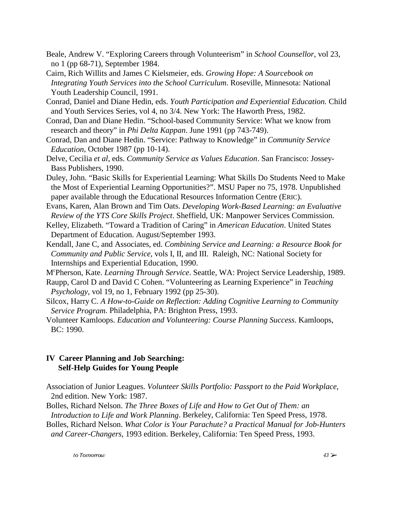- Beale, Andrew V. "Exploring Careers through Volunteerism" in *School Counsellor*, vol 23, no 1 (pp 68-71), September 1984.
- Cairn, Rich Willits and James C Kielsmeier, eds. *Growing Hope: A Sourcebook on Integrating Youth Services into the School Curriculum*. Roseville, Minnesota: National Youth Leadership Council, 1991.
- Conrad, Daniel and Diane Hedin, eds. *Youth Participation and Experiential Education.* Child and Youth Services Series, vol 4, no 3/4. New York: The Haworth Press, 1982.
- Conrad, Dan and Diane Hedin. "School-based Community Service: What we know from research and theory" in *Phi Delta Kappan*. June 1991 (pp 743-749).
- Conrad, Dan and Diane Hedin. "Service: Pathway to Knowledge" in *Community Service Education*, October 1987 (pp 10-14).
- Delve, Cecilia *et al*, eds. *Community Service as Values Education*. San Francisco: Jossey-Bass Publishers, 1990.
- Duley, John. "Basic Skills for Experiential Learning: What Skills Do Students Need to Make the Most of Experiential Learning Opportunities?". MSU Paper no 75, 1978. Unpublished paper available through the Educational Resources Information Centre (ERIC).
- Evans, Karen, Alan Brown and Tim Oats. *Developing Work-Based Learning: an Evaluative Review of the YTS Core Skills Project*. Sheffield, UK: Manpower Services Commission.
- Kelley, Elizabeth. "Toward a Tradition of Caring" in *American Education*. United States Department of Education. August/September 1993.
- Kendall, Jane C, and Associates, ed. *Combining Service and Learning: a Resource Book for Community and Public Service*, vols I, II, and III. Raleigh, NC: National Society for Internships and Experiential Education, 1990.
- Mc Pherson, Kate. *Learning Through Service*. Seattle, WA: Project Service Leadership, 1989.
- Raupp, Carol D and David C Cohen. "Volunteering as Learning Experience" in *Teaching Psychology*, vol 19, no 1, February 1992 (pp 25-30).
- Silcox, Harry C. *A How-to-Guide on Reflection: Adding Cognitive Learning to Community Service Program*. Philadelphia, PA: Brighton Press, 1993.
- Volunteer Kamloops. *Education and Volunteering: Course Planning Success*. Kamloops, BC: 1990.

#### **IV Career Planning and Job Searching: Self-Help Guides for Young People**

Association of Junior Leagues. *Volunteer Skills Portfolio: Passport to the Paid Workplace*, 2nd edition. New York: 1987.

Bolles, Richard Nelson. *The Three Boxes of Life and How to Get Out of Them: an Introduction to Life and Work Planning*. Berkeley, California: Ten Speed Press, 1978.

Bolles, Richard Nelson. *What Color is Your Parachute? a Practical Manual for Job-Hunters and Career-Changers*, 1993 edition. Berkeley, California: Ten Speed Press, 1993.